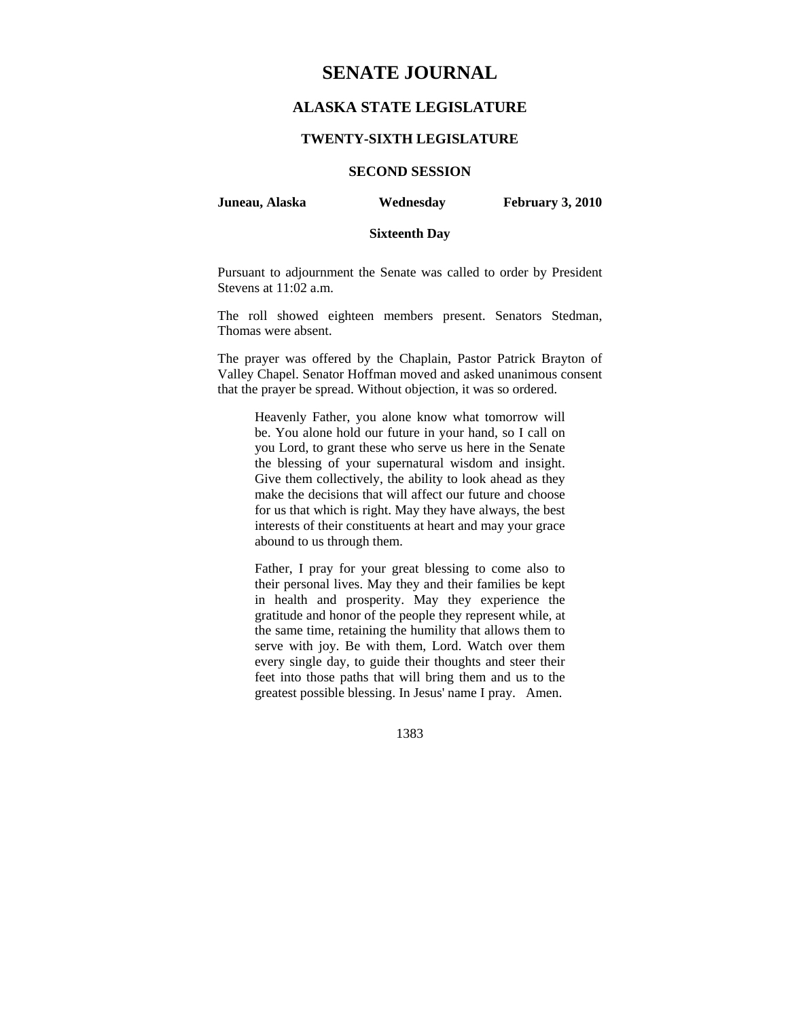## **SENATE JOURNAL**

## **ALASKA STATE LEGISLATURE**

#### **TWENTY-SIXTH LEGISLATURE**

## **SECOND SESSION**

**Juneau, Alaska Wednesday February 3, 2010** 

## **Sixteenth Day**

Pursuant to adjournment the Senate was called to order by President Stevens at 11:02 a.m.

The roll showed eighteen members present. Senators Stedman, Thomas were absent.

The prayer was offered by the Chaplain, Pastor Patrick Brayton of Valley Chapel. Senator Hoffman moved and asked unanimous consent that the prayer be spread. Without objection, it was so ordered.

Heavenly Father, you alone know what tomorrow will be. You alone hold our future in your hand, so I call on you Lord, to grant these who serve us here in the Senate the blessing of your supernatural wisdom and insight. Give them collectively, the ability to look ahead as they make the decisions that will affect our future and choose for us that which is right. May they have always, the best interests of their constituents at heart and may your grace abound to us through them.

Father, I pray for your great blessing to come also to their personal lives. May they and their families be kept in health and prosperity. May they experience the gratitude and honor of the people they represent while, at the same time, retaining the humility that allows them to serve with joy. Be with them, Lord. Watch over them every single day, to guide their thoughts and steer their feet into those paths that will bring them and us to the greatest possible blessing. In Jesus' name I pray. Amen.

1383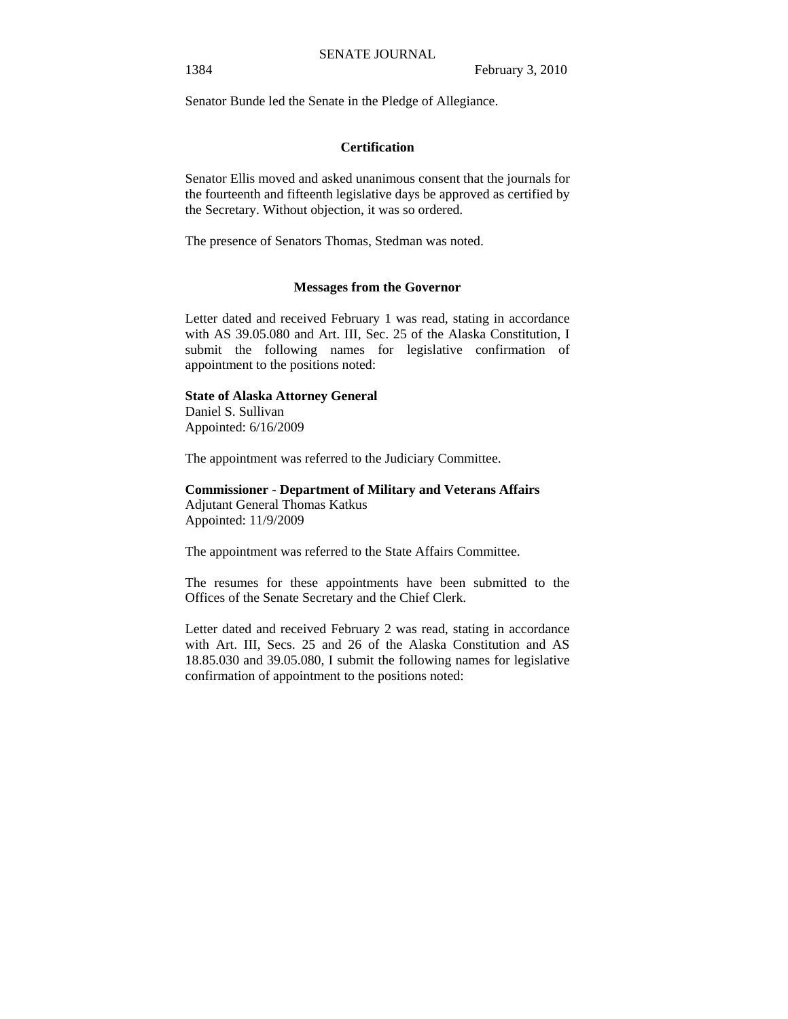Senator Bunde led the Senate in the Pledge of Allegiance.

#### **Certification**

Senator Ellis moved and asked unanimous consent that the journals for the fourteenth and fifteenth legislative days be approved as certified by the Secretary. Without objection, it was so ordered.

The presence of Senators Thomas, Stedman was noted.

#### **Messages from the Governor**

Letter dated and received February 1 was read, stating in accordance with AS 39.05.080 and Art. III, Sec. 25 of the Alaska Constitution, I submit the following names for legislative confirmation of appointment to the positions noted:

#### **State of Alaska Attorney General**

Daniel S. Sullivan Appointed: 6/16/2009

The appointment was referred to the Judiciary Committee.

#### **Commissioner - Department of Military and Veterans Affairs**  Adjutant General Thomas Katkus

Appointed: 11/9/2009

The appointment was referred to the State Affairs Committee.

The resumes for these appointments have been submitted to the Offices of the Senate Secretary and the Chief Clerk.

Letter dated and received February 2 was read, stating in accordance with Art. III, Secs. 25 and 26 of the Alaska Constitution and AS 18.85.030 and 39.05.080, I submit the following names for legislative confirmation of appointment to the positions noted: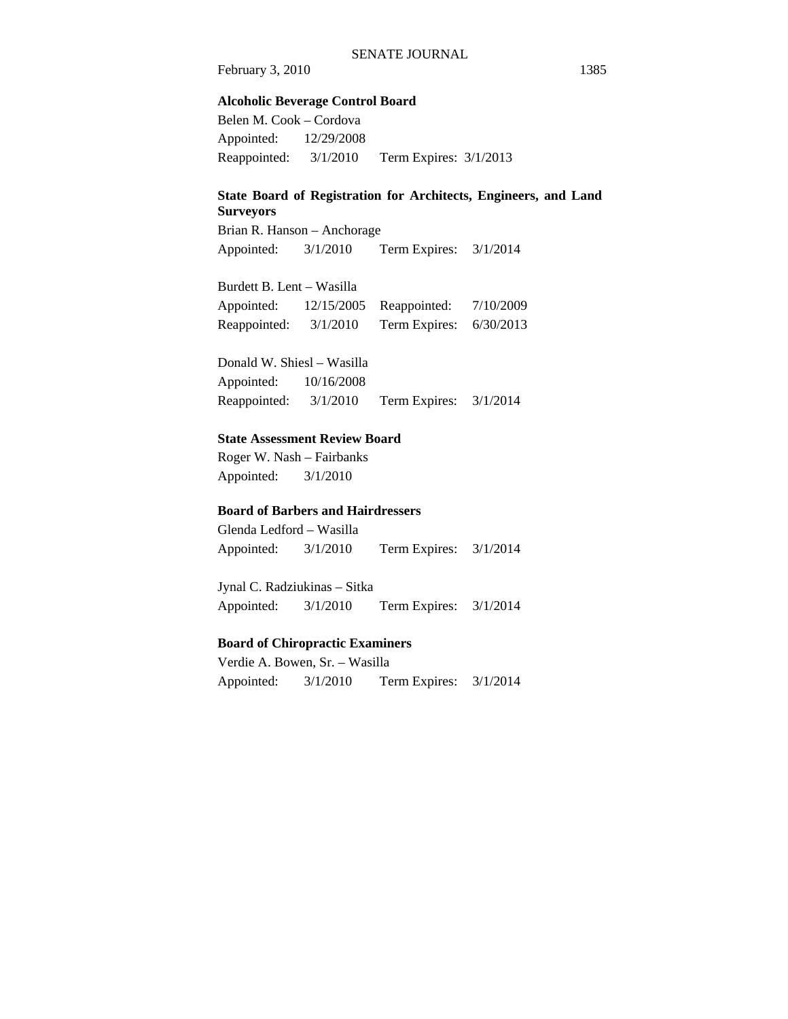#### **Alcoholic Beverage Control Board**

Belen M. Cook – Cordova Appointed: 12/29/2008 Reappointed: 3/1/2010 Term Expires: 3/1/2013

## **State Board of Registration for Architects, Engineers, and Land Surveyors**

Brian R. Hanson – Anchorage Appointed: 3/1/2010 Term Expires: 3/1/2014

Burdett B. Lent – Wasilla

Appointed: 12/15/2005 Reappointed: 7/10/2009 Reappointed: 3/1/2010 Term Expires: 6/30/2013

Donald W. Shiesl – Wasilla Appointed: 10/16/2008 Reappointed: 3/1/2010 Term Expires: 3/1/2014

#### **State Assessment Review Board**

Roger W. Nash – Fairbanks Appointed: 3/1/2010

## **Board of Barbers and Hairdressers**

Glenda Ledford – Wasilla Appointed: 3/1/2010 Term Expires: 3/1/2014

Jynal C. Radziukinas – Sitka Appointed: 3/1/2010 Term Expires: 3/1/2014

#### **Board of Chiropractic Examiners**

Verdie A. Bowen, Sr. – Wasilla Appointed: 3/1/2010 Term Expires: 3/1/2014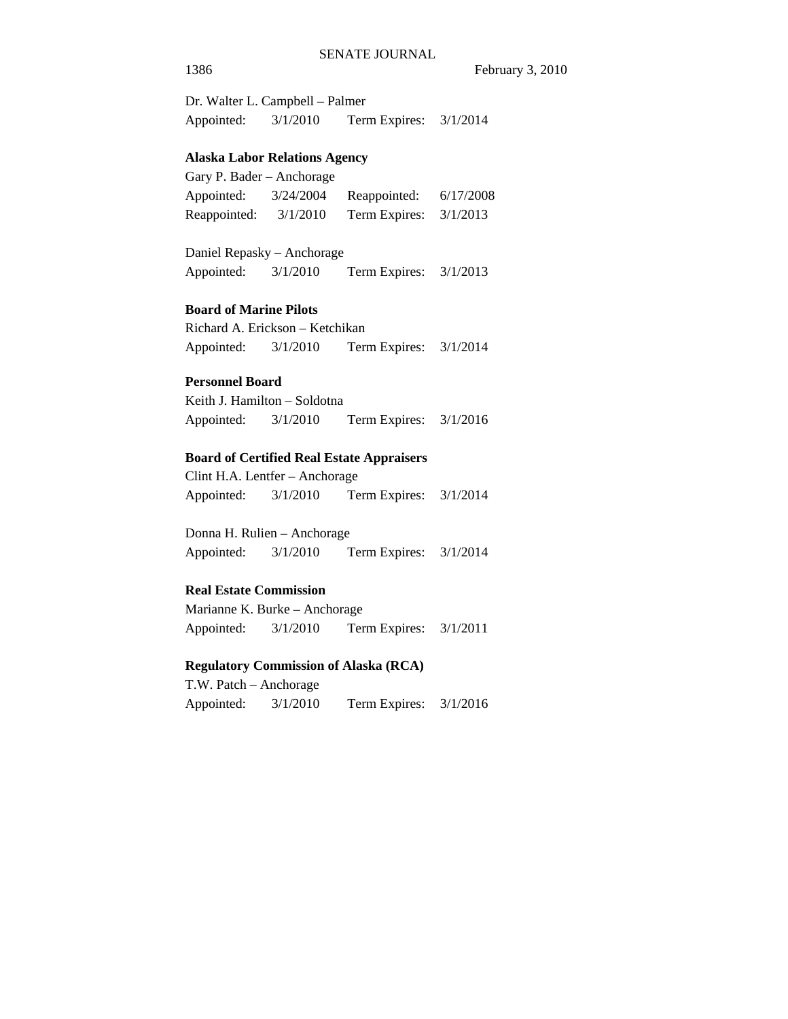Dr. Walter L. Campbell – Palmer Appointed: 3/1/2010 Term Expires: 3/1/2014

#### **Alaska Labor Relations Agency**

| Gary P. Bader – Anchorage |           |               |           |
|---------------------------|-----------|---------------|-----------|
| Appointed:                | 3/24/2004 | Reappointed:  | 6/17/2008 |
| Reappointed:              | 3/1/2010  | Term Expires: | 3/1/2013  |

Daniel Repasky – Anchorage Appointed: 3/1/2010 Term Expires: 3/1/2013

#### **Board of Marine Pilots**

Richard A. Erickson – Ketchikan Appointed: 3/1/2010 Term Expires: 3/1/2014

## **Personnel Board**

Keith J. Hamilton – Soldotna Appointed: 3/1/2010 Term Expires: 3/1/2016

#### **Board of Certified Real Estate Appraisers**

Clint H.A. Lentfer – Anchorage Appointed: 3/1/2010 Term Expires: 3/1/2014

Donna H. Rulien – Anchorage Appointed: 3/1/2010 Term Expires: 3/1/2014

#### **Real Estate Commission**

Marianne K. Burke – Anchorage Appointed: 3/1/2010 Term Expires: 3/1/2011

#### **Regulatory Commission of Alaska (RCA)**

T.W. Patch – Anchorage Appointed: 3/1/2010 Term Expires: 3/1/2016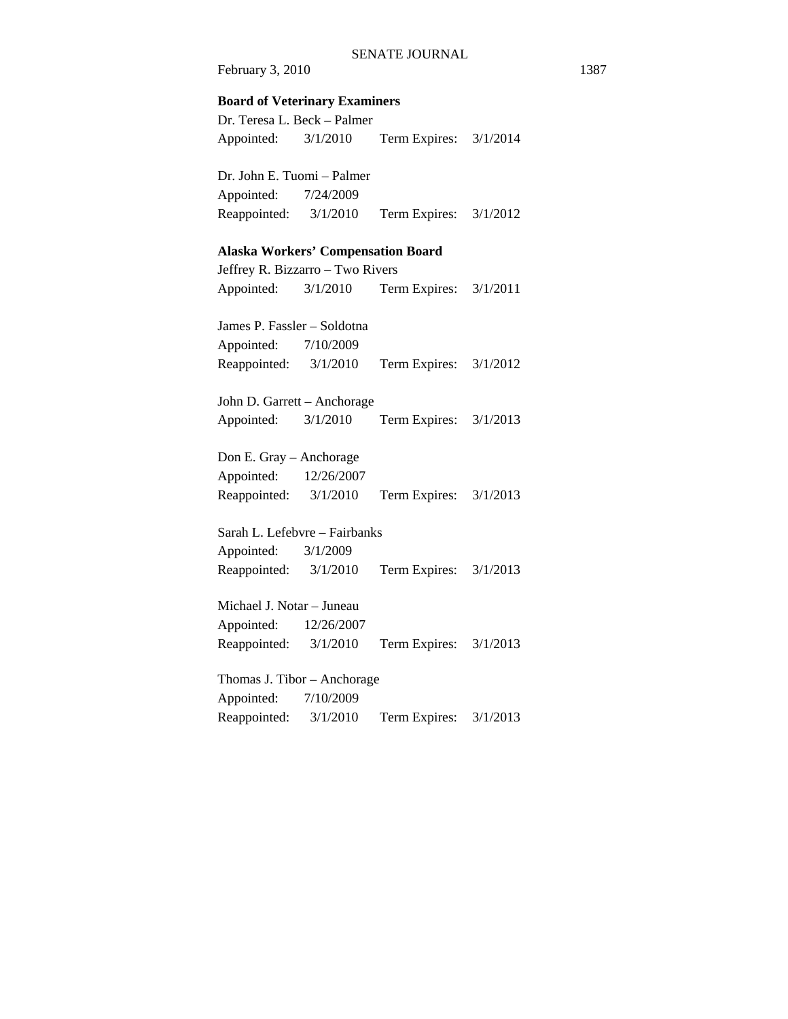**Board of Veterinary Examiners** 

Dr. Teresa L. Beck – Palmer Appointed: 3/1/2010 Term Expires: 3/1/2014

Dr. John E. Tuomi – Palmer Appointed: 7/24/2009 Reappointed: 3/1/2010 Term Expires: 3/1/2012

#### **Alaska Workers' Compensation Board**

Jeffrey R. Bizzarro – Two Rivers Appointed: 3/1/2010 Term Expires: 3/1/2011

James P. Fassler – Soldotna Appointed: 7/10/2009 Reappointed: 3/1/2010 Term Expires: 3/1/2012

John D. Garrett – Anchorage Appointed: 3/1/2010 Term Expires: 3/1/2013

Don E. Gray – Anchorage Appointed: 12/26/2007 Reappointed: 3/1/2010 Term Expires: 3/1/2013

Sarah L. Lefebvre – Fairbanks Appointed: 3/1/2009 Reappointed: 3/1/2010 Term Expires: 3/1/2013

Michael J. Notar – Juneau Appointed: 12/26/2007 Reappointed: 3/1/2010 Term Expires: 3/1/2013

Thomas J. Tibor – Anchorage Appointed: 7/10/2009 Reappointed: 3/1/2010 Term Expires: 3/1/2013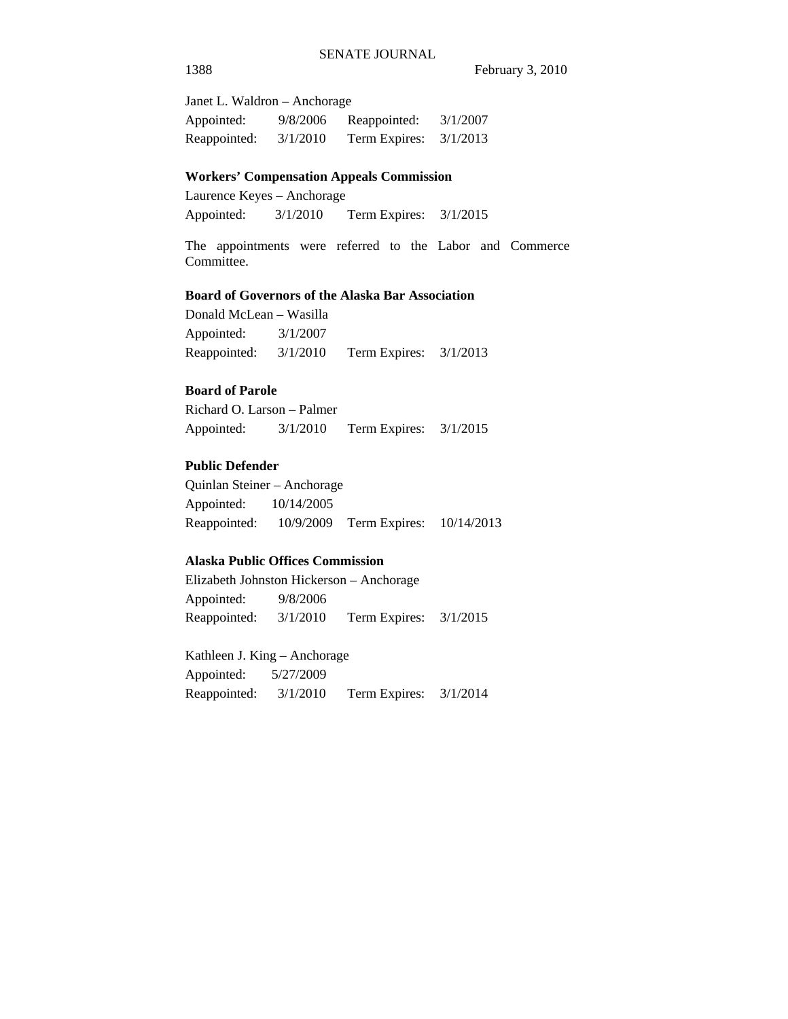Janet L. Waldron – Anchorage Appointed: 9/8/2006 Reappointed: 3/1/2007 Reappointed: 3/1/2010 Term Expires: 3/1/2013

#### **Workers' Compensation Appeals Commission**

Laurence Keyes – Anchorage Appointed: 3/1/2010 Term Expires: 3/1/2015

The appointments were referred to the Labor and Commerce Committee.

#### **Board of Governors of the Alaska Bar Association**

Donald McLean – Wasilla Appointed: 3/1/2007 Reappointed: 3/1/2010 Term Expires: 3/1/2013

## **Board of Parole**

Richard O. Larson – Palmer Appointed: 3/1/2010 Term Expires: 3/1/2015

## **Public Defender**

Quinlan Steiner – Anchorage Appointed: 10/14/2005 Reappointed: 10/9/2009 Term Expires: 10/14/2013

#### **Alaska Public Offices Commission**

Elizabeth Johnston Hickerson – Anchorage Appointed: 9/8/2006 Reappointed: 3/1/2010 Term Expires: 3/1/2015

Kathleen J. King – Anchorage Appointed: 5/27/2009 Reappointed: 3/1/2010 Term Expires: 3/1/2014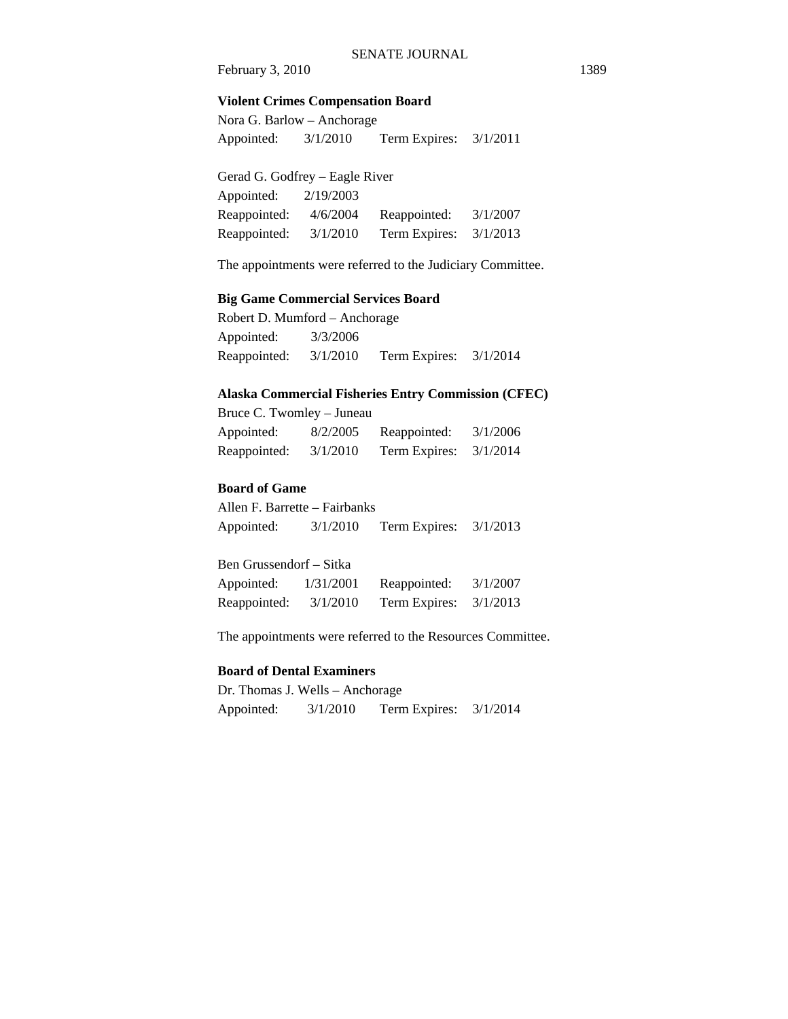#### **Violent Crimes Compensation Board**

Nora G. Barlow – Anchorage Appointed: 3/1/2010 Term Expires: 3/1/2011

| Gerad G. Godfrey – Eagle River |           |               |          |  |  |
|--------------------------------|-----------|---------------|----------|--|--|
| Appointed:                     | 2/19/2003 |               |          |  |  |
| Reappointed:                   | 4/6/2004  | Reappointed:  | 3/1/2007 |  |  |
| Reappointed:                   | 3/1/2010  | Term Expires: | 3/1/2013 |  |  |

The appointments were referred to the Judiciary Committee.

#### **Big Game Commercial Services Board**

Robert D. Mumford – Anchorage Appointed: 3/3/2006 Reappointed: 3/1/2010 Term Expires: 3/1/2014

#### **Alaska Commercial Fisheries Entry Commission (CFEC)**

| Bruce C. Twomley - Juneau |          |                          |          |  |  |
|---------------------------|----------|--------------------------|----------|--|--|
| Appointed:                | 8/2/2005 | Reappointed:             | 3/1/2006 |  |  |
| Reappointed:              | 3/1/2010 | Term Expires: $3/1/2014$ |          |  |  |

#### **Board of Game**

Allen F. Barrette – Fairbanks Appointed: 3/1/2010 Term Expires: 3/1/2013

| Ben Grussendorf – Sitka |           |                          |          |  |  |
|-------------------------|-----------|--------------------------|----------|--|--|
| Appointed:              | 1/31/2001 | Reappointed:             | 3/1/2007 |  |  |
| Reappointed:            | 3/1/2010  | Term Expires: $3/1/2013$ |          |  |  |

The appointments were referred to the Resources Committee.

#### **Board of Dental Examiners**

Dr. Thomas J. Wells – Anchorage Appointed: 3/1/2010 Term Expires: 3/1/2014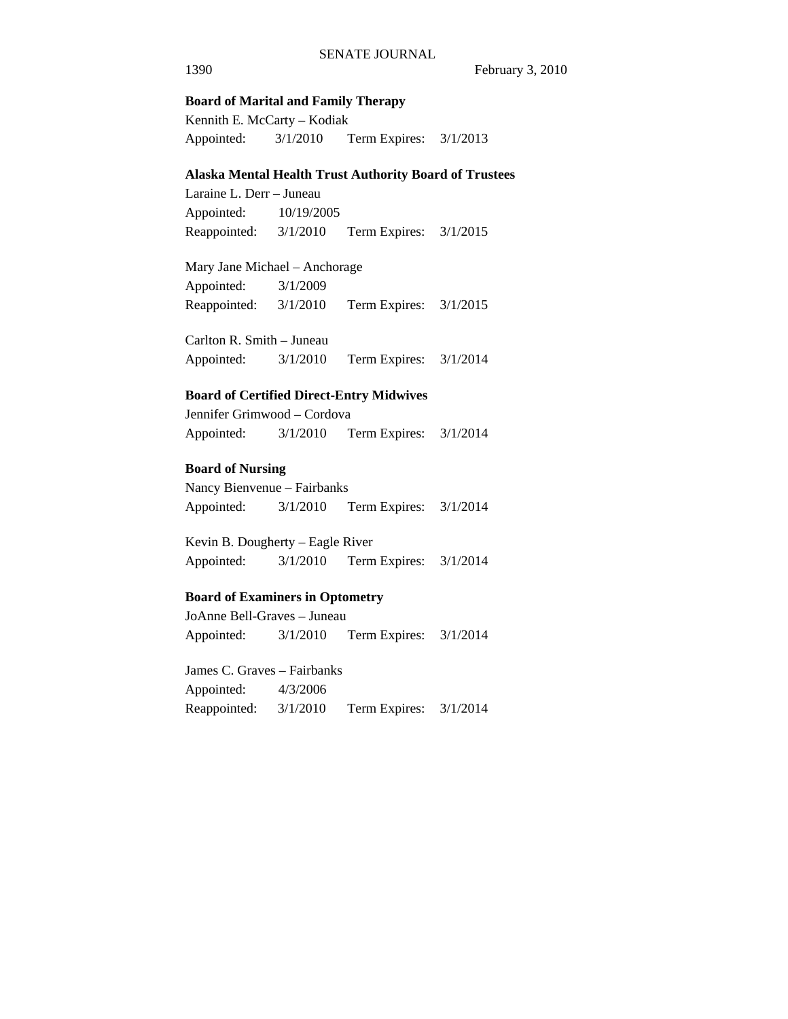#### **Board of Marital and Family Therapy**

Kennith E. McCarty – Kodiak Appointed: 3/1/2010 Term Expires: 3/1/2013

#### **Alaska Mental Health Trust Authority Board of Trustees**

Laraine L. Derr – Juneau Appointed: 10/19/2005 Reappointed: 3/1/2010 Term Expires: 3/1/2015

Mary Jane Michael – Anchorage Appointed: 3/1/2009 Reappointed: 3/1/2010 Term Expires: 3/1/2015

Carlton R. Smith – Juneau Appointed: 3/1/2010 Term Expires: 3/1/2014

#### **Board of Certified Direct-Entry Midwives**

Jennifer Grimwood – Cordova Appointed: 3/1/2010 Term Expires: 3/1/2014

#### **Board of Nursing**

Nancy Bienvenue – Fairbanks Appointed: 3/1/2010 Term Expires: 3/1/2014

Kevin B. Dougherty – Eagle River Appointed: 3/1/2010 Term Expires: 3/1/2014

#### **Board of Examiners in Optometry**

JoAnne Bell-Graves – Juneau Appointed: 3/1/2010 Term Expires: 3/1/2014

James C. Graves – Fairbanks Appointed: 4/3/2006 Reappointed: 3/1/2010 Term Expires: 3/1/2014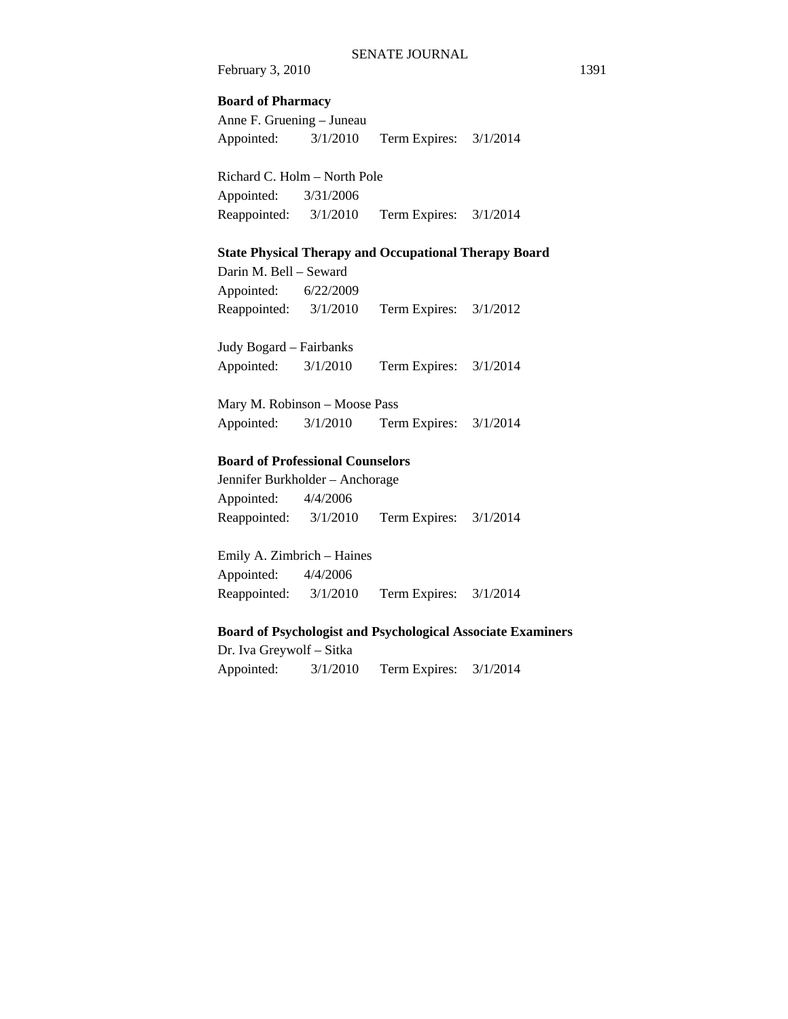#### **Board of Pharmacy**

Anne F. Gruening – Juneau Appointed: 3/1/2010 Term Expires: 3/1/2014

Richard C. Holm – North Pole Appointed: 3/31/2006 Reappointed: 3/1/2010 Term Expires: 3/1/2014

#### **State Physical Therapy and Occupational Therapy Board**

Darin M. Bell – Seward Appointed: 6/22/2009 Reappointed: 3/1/2010 Term Expires: 3/1/2012

Judy Bogard – Fairbanks Appointed: 3/1/2010 Term Expires: 3/1/2014

Mary M. Robinson – Moose Pass Appointed: 3/1/2010 Term Expires: 3/1/2014

#### **Board of Professional Counselors**

Jennifer Burkholder – Anchorage Appointed: 4/4/2006 Reappointed: 3/1/2010 Term Expires: 3/1/2014

Emily A. Zimbrich – Haines Appointed: 4/4/2006 Reappointed: 3/1/2010 Term Expires: 3/1/2014

#### **Board of Psychologist and Psychological Associate Examiners**

Dr. Iva Greywolf – Sitka Appointed: 3/1/2010 Term Expires: 3/1/2014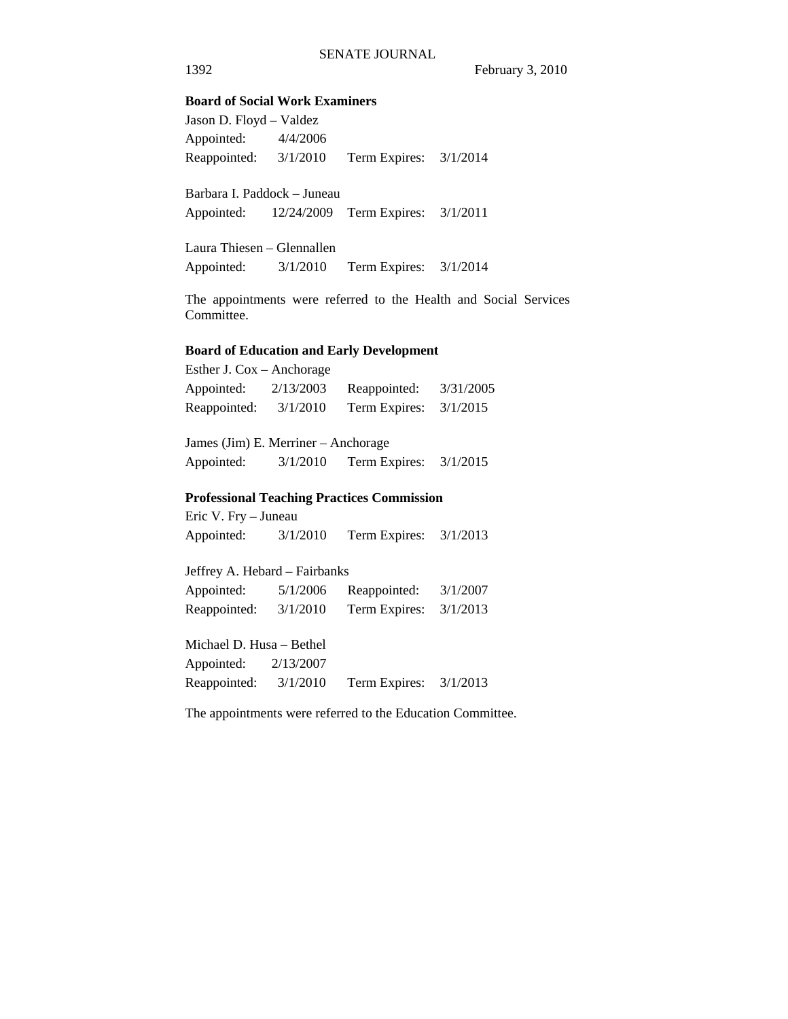#### **Board of Social Work Examiners**

Jason D. Floyd – Valdez Appointed: 4/4/2006 Reappointed: 3/1/2010 Term Expires: 3/1/2014

Barbara I. Paddock – Juneau Appointed: 12/24/2009 Term Expires: 3/1/2011

Laura Thiesen – Glennallen Appointed: 3/1/2010 Term Expires: 3/1/2014

The appointments were referred to the Health and Social Services Committee.

#### **Board of Education and Early Development**

| Esther J. $\text{Cox} - \text{Another degree}$ |           |               |           |
|------------------------------------------------|-----------|---------------|-----------|
| Appointed:                                     | 2/13/2003 | Reappointed:  | 3/31/2005 |
| Reappointed:                                   | 3/1/2010  | Term Expires: | 3/1/2015  |

James (Jim) E. Merriner – Anchorage Appointed: 3/1/2010 Term Expires: 3/1/2015

### **Professional Teaching Practices Commission**

Eric V. Fry – Juneau Appointed: 3/1/2010 Term Expires: 3/1/2013

Jeffrey A. Hebard – Fairbanks Appointed: 5/1/2006 Reappointed: 3/1/2007 Reappointed: 3/1/2010 Term Expires: 3/1/2013

Michael D. Husa – Bethel Appointed: 2/13/2007 Reappointed: 3/1/2010 Term Expires: 3/1/2013

The appointments were referred to the Education Committee.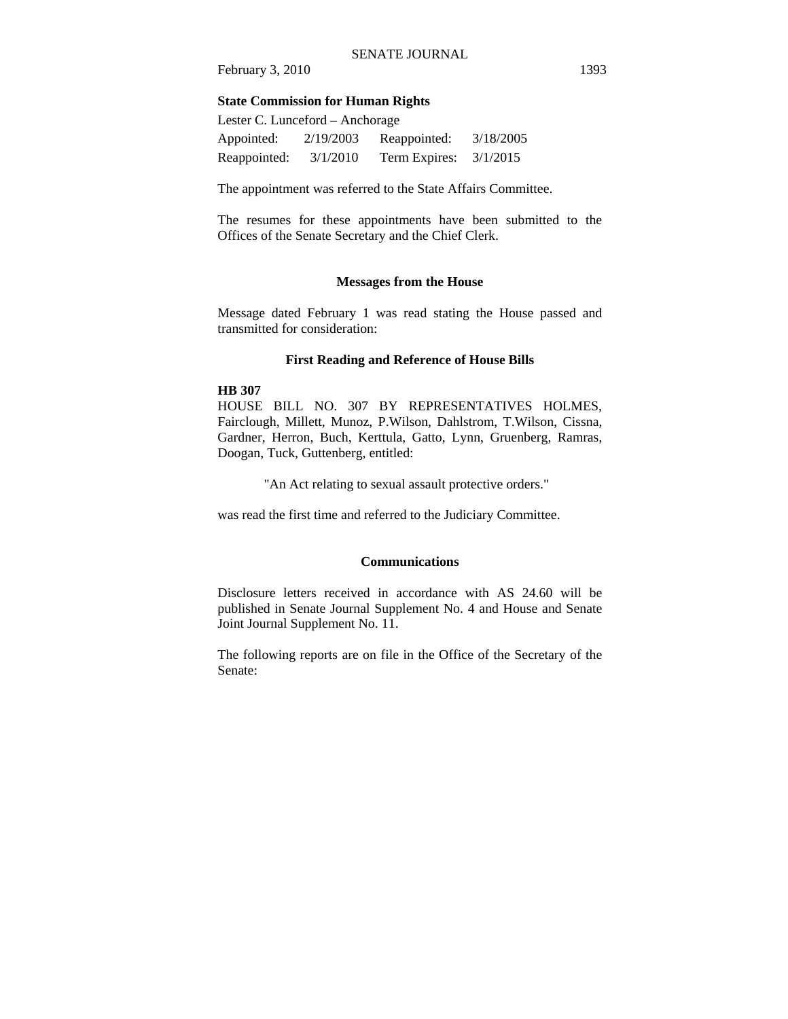#### **State Commission for Human Rights**

| Lester C. Lunceford – Anchorage |           |               |           |  |
|---------------------------------|-----------|---------------|-----------|--|
| Appointed:                      | 2/19/2003 | Reappointed:  | 3/18/2005 |  |
| Reappointed:                    | 3/1/2010  | Term Expires: | 3/1/2015  |  |

The appointment was referred to the State Affairs Committee.

The resumes for these appointments have been submitted to the Offices of the Senate Secretary and the Chief Clerk.

#### **Messages from the House**

Message dated February 1 was read stating the House passed and transmitted for consideration:

#### **First Reading and Reference of House Bills**

#### **HB 307**

HOUSE BILL NO. 307 BY REPRESENTATIVES HOLMES, Fairclough, Millett, Munoz, P.Wilson, Dahlstrom, T.Wilson, Cissna, Gardner, Herron, Buch, Kerttula, Gatto, Lynn, Gruenberg, Ramras, Doogan, Tuck, Guttenberg, entitled:

"An Act relating to sexual assault protective orders."

was read the first time and referred to the Judiciary Committee.

#### **Communications**

Disclosure letters received in accordance with AS 24.60 will be published in Senate Journal Supplement No. 4 and House and Senate Joint Journal Supplement No. 11.

The following reports are on file in the Office of the Secretary of the Senate: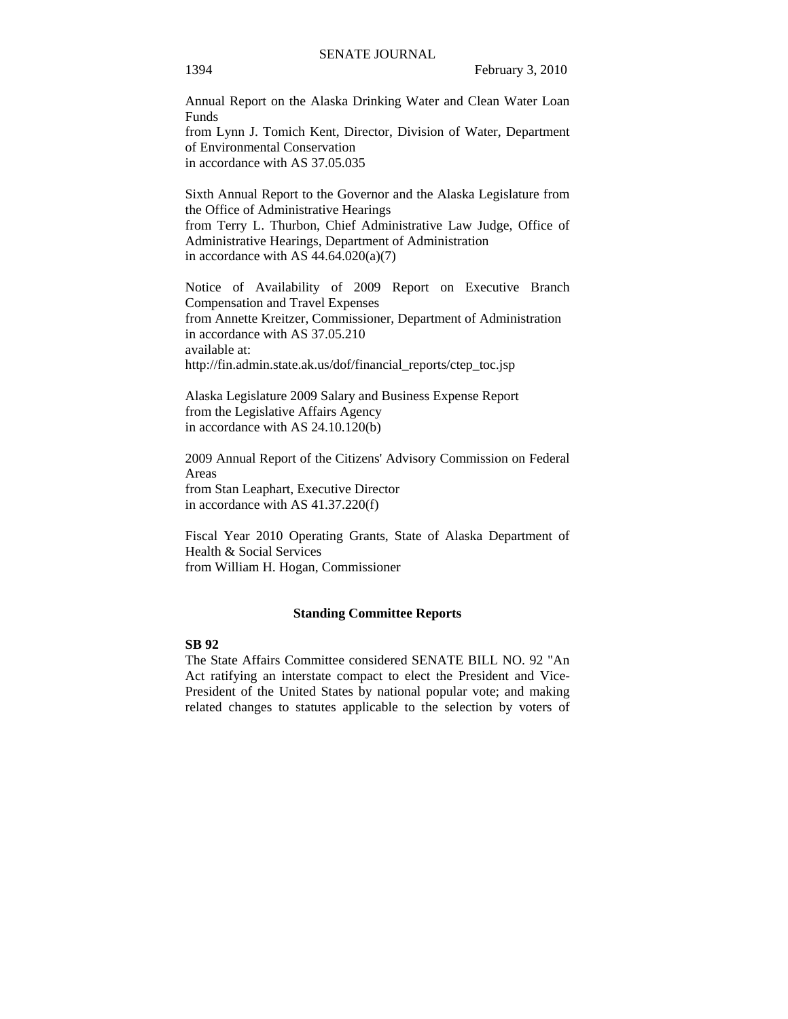Annual Report on the Alaska Drinking Water and Clean Water Loan Funds from Lynn J. Tomich Kent, Director, Division of Water, Department of Environmental Conservation in accordance with AS 37.05.035

Sixth Annual Report to the Governor and the Alaska Legislature from the Office of Administrative Hearings from Terry L. Thurbon, Chief Administrative Law Judge, Office of Administrative Hearings, Department of Administration in accordance with AS  $44.64.020(a)(7)$ 

Notice of Availability of 2009 Report on Executive Branch Compensation and Travel Expenses from Annette Kreitzer, Commissioner, Department of Administration in accordance with AS 37.05.210 available at: http://fin.admin.state.ak.us/dof/financial\_reports/ctep\_toc.jsp

Alaska Legislature 2009 Salary and Business Expense Report from the Legislative Affairs Agency in accordance with AS 24.10.120(b)

2009 Annual Report of the Citizens' Advisory Commission on Federal Areas from Stan Leaphart, Executive Director in accordance with AS 41.37.220(f)

Fiscal Year 2010 Operating Grants, State of Alaska Department of Health & Social Services from William H. Hogan, Commissioner

#### **Standing Committee Reports**

#### **SB 92**

The State Affairs Committee considered SENATE BILL NO. 92 "An Act ratifying an interstate compact to elect the President and Vice-President of the United States by national popular vote; and making related changes to statutes applicable to the selection by voters of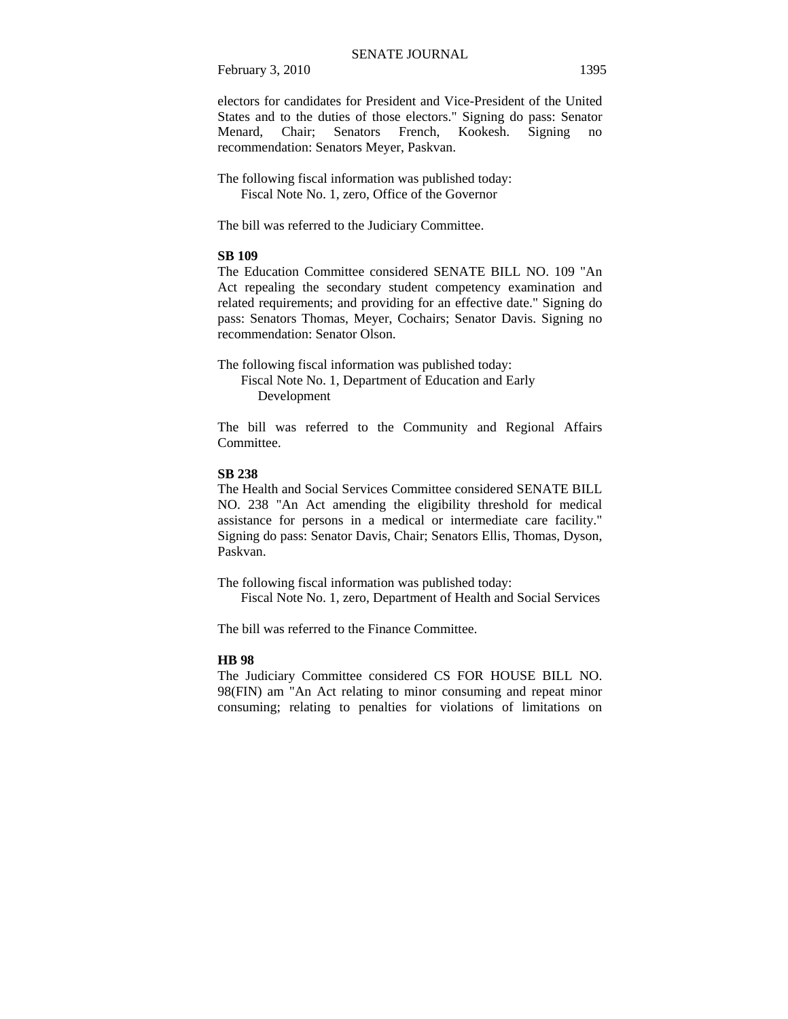electors for candidates for President and Vice-President of the United States and to the duties of those electors." Signing do pass: Senator Menard, Chair; Senators French, Kookesh. Signing no recommendation: Senators Meyer, Paskvan.

The following fiscal information was published today: Fiscal Note No. 1, zero, Office of the Governor

The bill was referred to the Judiciary Committee.

#### **SB 109**

The Education Committee considered SENATE BILL NO. 109 "An Act repealing the secondary student competency examination and related requirements; and providing for an effective date." Signing do pass: Senators Thomas, Meyer, Cochairs; Senator Davis. Signing no recommendation: Senator Olson.

The following fiscal information was published today: Fiscal Note No. 1, Department of Education and Early Development

The bill was referred to the Community and Regional Affairs Committee.

#### **SB 238**

The Health and Social Services Committee considered SENATE BILL NO. 238 "An Act amending the eligibility threshold for medical assistance for persons in a medical or intermediate care facility." Signing do pass: Senator Davis, Chair; Senators Ellis, Thomas, Dyson, Paskvan.

The following fiscal information was published today: Fiscal Note No. 1, zero, Department of Health and Social Services

The bill was referred to the Finance Committee.

#### **HB 98**

The Judiciary Committee considered CS FOR HOUSE BILL NO. 98(FIN) am "An Act relating to minor consuming and repeat minor consuming; relating to penalties for violations of limitations on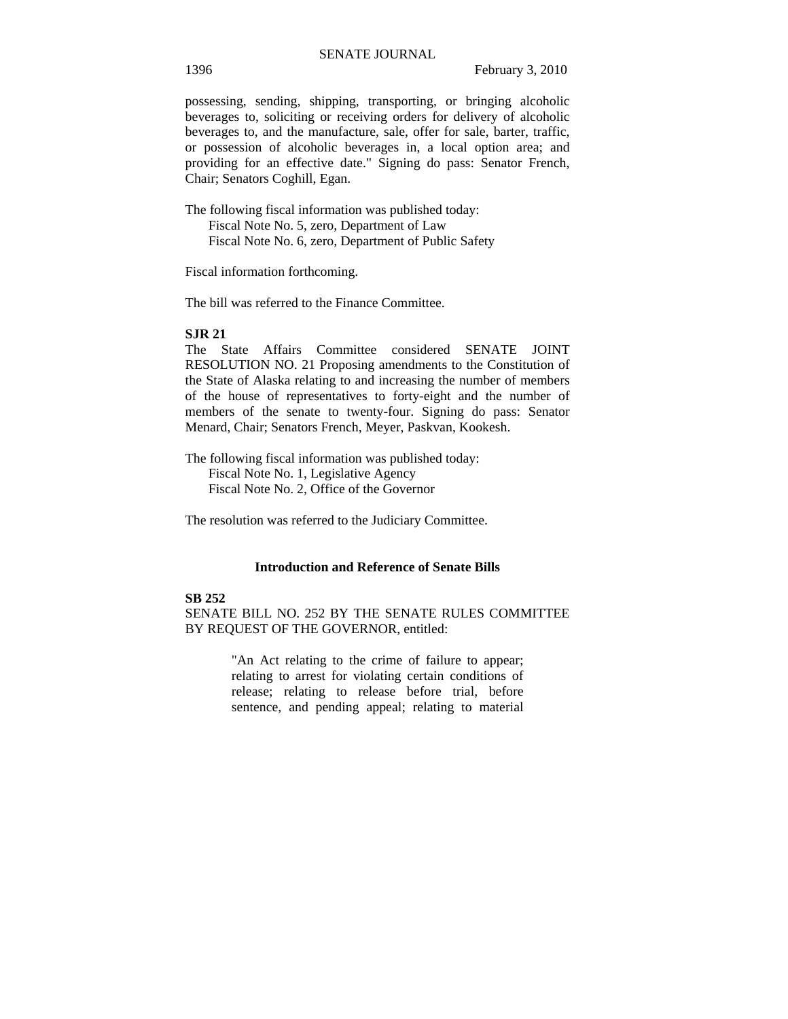possessing, sending, shipping, transporting, or bringing alcoholic beverages to, soliciting or receiving orders for delivery of alcoholic beverages to, and the manufacture, sale, offer for sale, barter, traffic, or possession of alcoholic beverages in, a local option area; and providing for an effective date." Signing do pass: Senator French, Chair; Senators Coghill, Egan.

The following fiscal information was published today: Fiscal Note No. 5, zero, Department of Law Fiscal Note No. 6, zero, Department of Public Safety

Fiscal information forthcoming.

The bill was referred to the Finance Committee.

#### **SJR 21**

The State Affairs Committee considered SENATE JOINT RESOLUTION NO. 21 Proposing amendments to the Constitution of the State of Alaska relating to and increasing the number of members of the house of representatives to forty-eight and the number of members of the senate to twenty-four. Signing do pass: Senator Menard, Chair; Senators French, Meyer, Paskvan, Kookesh.

The following fiscal information was published today: Fiscal Note No. 1, Legislative Agency Fiscal Note No. 2, Office of the Governor

The resolution was referred to the Judiciary Committee.

#### **Introduction and Reference of Senate Bills**

#### **SB 252**

SENATE BILL NO. 252 BY THE SENATE RULES COMMITTEE BY REQUEST OF THE GOVERNOR, entitled:

> "An Act relating to the crime of failure to appear; relating to arrest for violating certain conditions of release; relating to release before trial, before sentence, and pending appeal; relating to material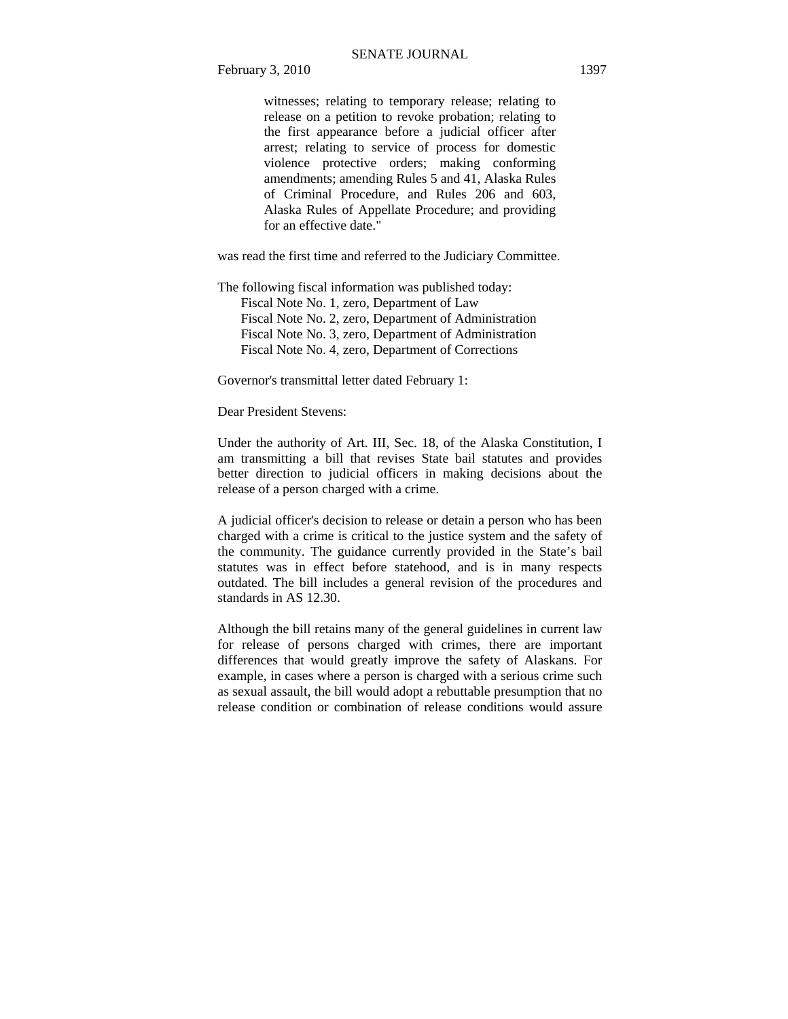witnesses; relating to temporary release; relating to release on a petition to revoke probation; relating to the first appearance before a judicial officer after arrest; relating to service of process for domestic violence protective orders; making conforming amendments; amending Rules 5 and 41, Alaska Rules of Criminal Procedure, and Rules 206 and 603, Alaska Rules of Appellate Procedure; and providing for an effective date."

was read the first time and referred to the Judiciary Committee.

The following fiscal information was published today:

 Fiscal Note No. 1, zero, Department of Law Fiscal Note No. 2, zero, Department of Administration Fiscal Note No. 3, zero, Department of Administration Fiscal Note No. 4, zero, Department of Corrections

Governor's transmittal letter dated February 1:

Dear President Stevens:

Under the authority of Art. III, Sec. 18, of the Alaska Constitution, I am transmitting a bill that revises State bail statutes and provides better direction to judicial officers in making decisions about the release of a person charged with a crime.

A judicial officer's decision to release or detain a person who has been charged with a crime is critical to the justice system and the safety of the community. The guidance currently provided in the State's bail statutes was in effect before statehood, and is in many respects outdated. The bill includes a general revision of the procedures and standards in AS 12.30.

Although the bill retains many of the general guidelines in current law for release of persons charged with crimes, there are important differences that would greatly improve the safety of Alaskans. For example, in cases where a person is charged with a serious crime such as sexual assault, the bill would adopt a rebuttable presumption that no release condition or combination of release conditions would assure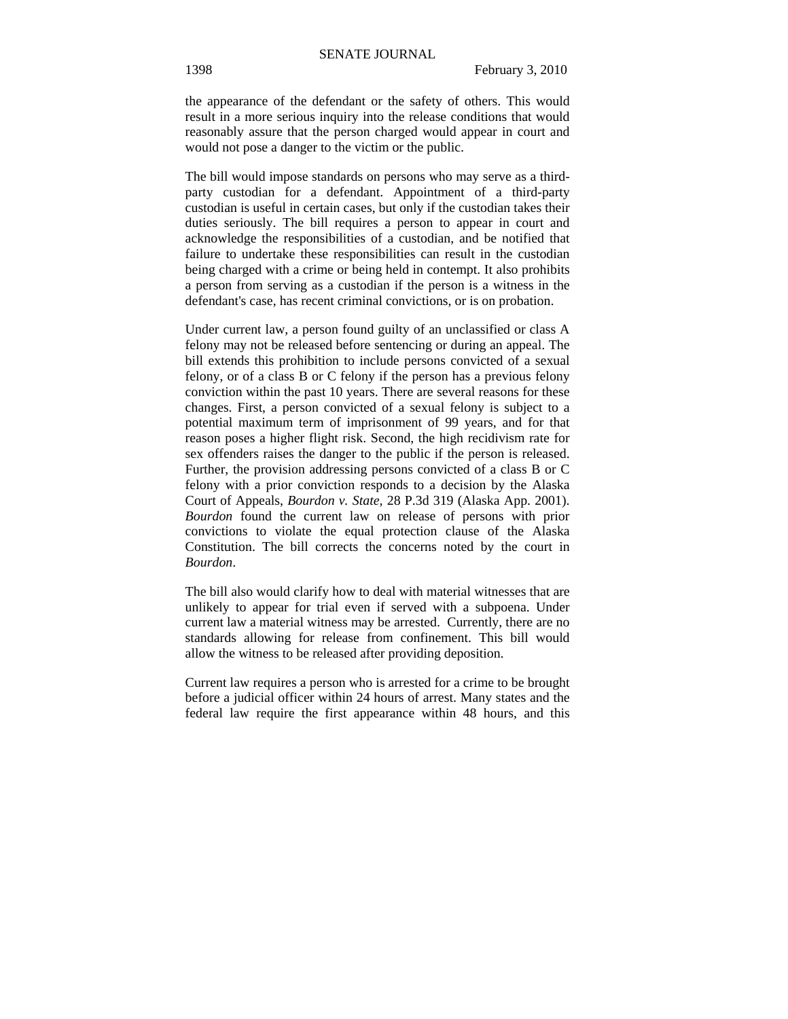the appearance of the defendant or the safety of others. This would result in a more serious inquiry into the release conditions that would reasonably assure that the person charged would appear in court and would not pose a danger to the victim or the public.

The bill would impose standards on persons who may serve as a thirdparty custodian for a defendant. Appointment of a third-party custodian is useful in certain cases, but only if the custodian takes their duties seriously. The bill requires a person to appear in court and acknowledge the responsibilities of a custodian, and be notified that failure to undertake these responsibilities can result in the custodian being charged with a crime or being held in contempt. It also prohibits a person from serving as a custodian if the person is a witness in the defendant's case, has recent criminal convictions, or is on probation.

Under current law, a person found guilty of an unclassified or class A felony may not be released before sentencing or during an appeal. The bill extends this prohibition to include persons convicted of a sexual felony, or of a class B or C felony if the person has a previous felony conviction within the past 10 years. There are several reasons for these changes. First, a person convicted of a sexual felony is subject to a potential maximum term of imprisonment of 99 years, and for that reason poses a higher flight risk. Second, the high recidivism rate for sex offenders raises the danger to the public if the person is released. Further, the provision addressing persons convicted of a class B or C felony with a prior conviction responds to a decision by the Alaska Court of Appeals, *Bourdon v. State,* 28 P.3d 319 (Alaska App. 2001). *Bourdon* found the current law on release of persons with prior convictions to violate the equal protection clause of the Alaska Constitution. The bill corrects the concerns noted by the court in *Bourdon*.

The bill also would clarify how to deal with material witnesses that are unlikely to appear for trial even if served with a subpoena. Under current law a material witness may be arrested. Currently, there are no standards allowing for release from confinement. This bill would allow the witness to be released after providing deposition.

Current law requires a person who is arrested for a crime to be brought before a judicial officer within 24 hours of arrest. Many states and the federal law require the first appearance within 48 hours, and this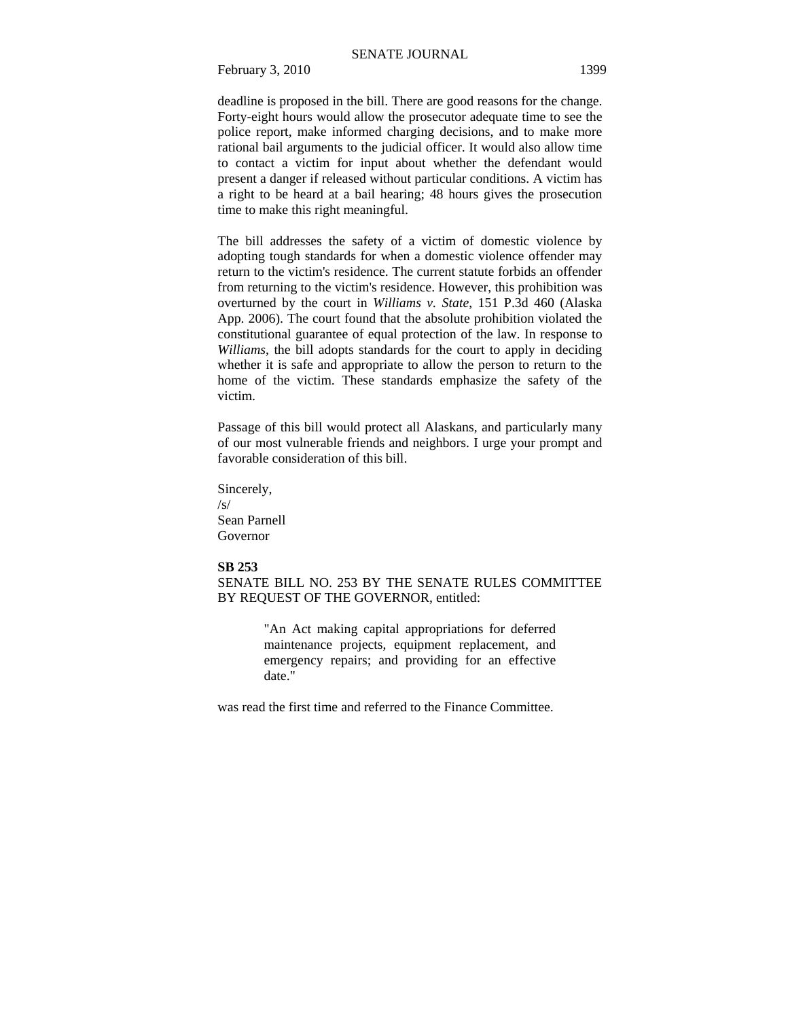deadline is proposed in the bill. There are good reasons for the change. Forty-eight hours would allow the prosecutor adequate time to see the police report, make informed charging decisions, and to make more rational bail arguments to the judicial officer. It would also allow time to contact a victim for input about whether the defendant would present a danger if released without particular conditions. A victim has a right to be heard at a bail hearing; 48 hours gives the prosecution time to make this right meaningful.

The bill addresses the safety of a victim of domestic violence by adopting tough standards for when a domestic violence offender may return to the victim's residence. The current statute forbids an offender from returning to the victim's residence. However, this prohibition was overturned by the court in *Williams v. State*, 151 P.3d 460 (Alaska App. 2006). The court found that the absolute prohibition violated the constitutional guarantee of equal protection of the law. In response to *Williams*, the bill adopts standards for the court to apply in deciding whether it is safe and appropriate to allow the person to return to the home of the victim. These standards emphasize the safety of the victim.

Passage of this bill would protect all Alaskans, and particularly many of our most vulnerable friends and neighbors. I urge your prompt and favorable consideration of this bill.

Sincerely, /s/ Sean Parnell Governor

#### **SB 253**

SENATE BILL NO. 253 BY THE SENATE RULES COMMITTEE BY REQUEST OF THE GOVERNOR, entitled:

> "An Act making capital appropriations for deferred maintenance projects, equipment replacement, and emergency repairs; and providing for an effective date."

was read the first time and referred to the Finance Committee.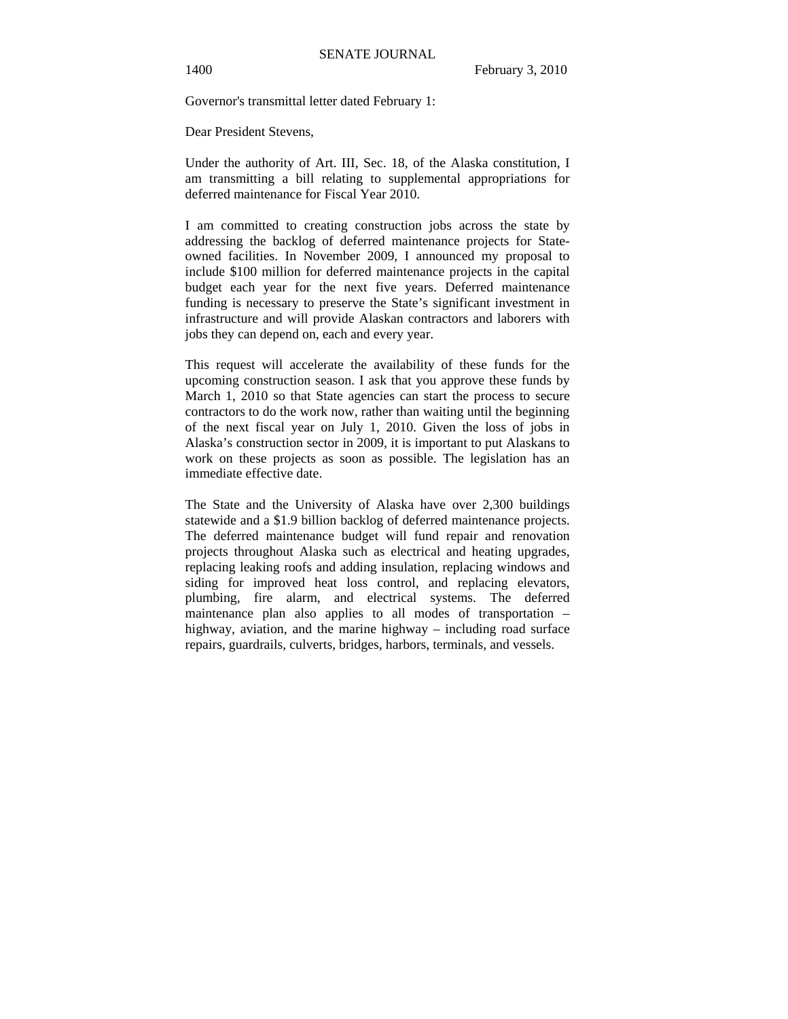Governor's transmittal letter dated February 1:

Dear President Stevens,

Under the authority of Art. III, Sec. 18, of the Alaska constitution, I am transmitting a bill relating to supplemental appropriations for deferred maintenance for Fiscal Year 2010.

I am committed to creating construction jobs across the state by addressing the backlog of deferred maintenance projects for Stateowned facilities. In November 2009, I announced my proposal to include \$100 million for deferred maintenance projects in the capital budget each year for the next five years. Deferred maintenance funding is necessary to preserve the State's significant investment in infrastructure and will provide Alaskan contractors and laborers with jobs they can depend on, each and every year.

This request will accelerate the availability of these funds for the upcoming construction season. I ask that you approve these funds by March 1, 2010 so that State agencies can start the process to secure contractors to do the work now, rather than waiting until the beginning of the next fiscal year on July 1, 2010. Given the loss of jobs in Alaska's construction sector in 2009, it is important to put Alaskans to work on these projects as soon as possible. The legislation has an immediate effective date.

The State and the University of Alaska have over 2,300 buildings statewide and a \$1.9 billion backlog of deferred maintenance projects. The deferred maintenance budget will fund repair and renovation projects throughout Alaska such as electrical and heating upgrades, replacing leaking roofs and adding insulation, replacing windows and siding for improved heat loss control, and replacing elevators, plumbing, fire alarm, and electrical systems. The deferred maintenance plan also applies to all modes of transportation – highway, aviation, and the marine highway – including road surface repairs, guardrails, culverts, bridges, harbors, terminals, and vessels.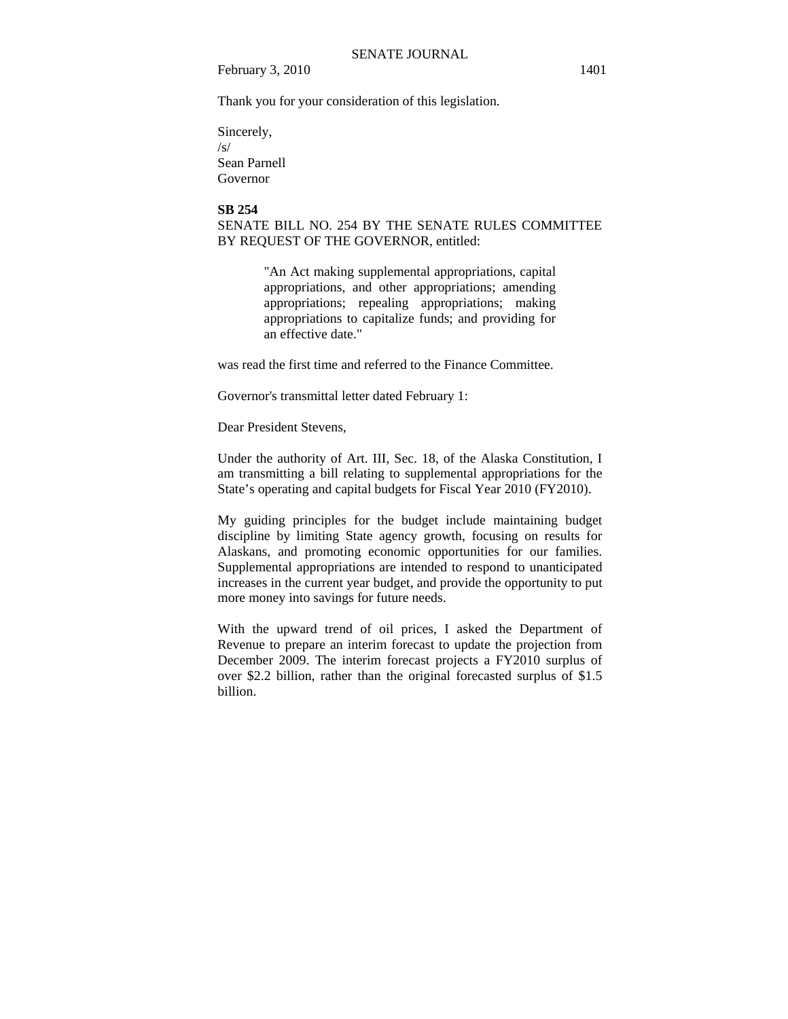Thank you for your consideration of this legislation.

Sincerely, /s/ Sean Parnell Governor

#### **SB 254**

SENATE BILL NO. 254 BY THE SENATE RULES COMMITTEE BY REQUEST OF THE GOVERNOR, entitled:

> "An Act making supplemental appropriations, capital appropriations, and other appropriations; amending appropriations; repealing appropriations; making appropriations to capitalize funds; and providing for an effective date."

was read the first time and referred to the Finance Committee.

Governor's transmittal letter dated February 1:

Dear President Stevens,

Under the authority of Art. III, Sec. 18, of the Alaska Constitution, I am transmitting a bill relating to supplemental appropriations for the State's operating and capital budgets for Fiscal Year 2010 (FY2010).

My guiding principles for the budget include maintaining budget discipline by limiting State agency growth, focusing on results for Alaskans, and promoting economic opportunities for our families. Supplemental appropriations are intended to respond to unanticipated increases in the current year budget, and provide the opportunity to put more money into savings for future needs.

With the upward trend of oil prices, I asked the Department of Revenue to prepare an interim forecast to update the projection from December 2009. The interim forecast projects a FY2010 surplus of over \$2.2 billion, rather than the original forecasted surplus of \$1.5 billion.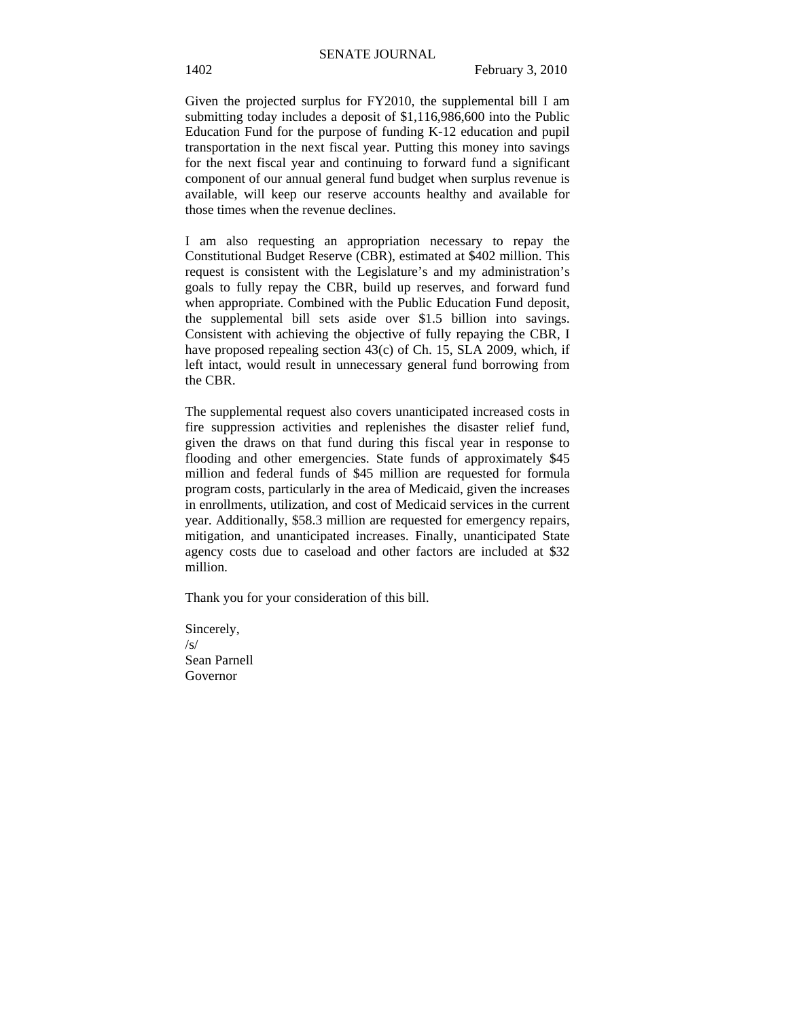Given the projected surplus for FY2010, the supplemental bill I am submitting today includes a deposit of \$1,116,986,600 into the Public Education Fund for the purpose of funding K-12 education and pupil transportation in the next fiscal year. Putting this money into savings for the next fiscal year and continuing to forward fund a significant component of our annual general fund budget when surplus revenue is available, will keep our reserve accounts healthy and available for those times when the revenue declines.

I am also requesting an appropriation necessary to repay the Constitutional Budget Reserve (CBR), estimated at \$402 million. This request is consistent with the Legislature's and my administration's goals to fully repay the CBR, build up reserves, and forward fund when appropriate. Combined with the Public Education Fund deposit, the supplemental bill sets aside over \$1.5 billion into savings. Consistent with achieving the objective of fully repaying the CBR, I have proposed repealing section 43(c) of Ch. 15, SLA 2009, which, if left intact, would result in unnecessary general fund borrowing from the CBR.

The supplemental request also covers unanticipated increased costs in fire suppression activities and replenishes the disaster relief fund, given the draws on that fund during this fiscal year in response to flooding and other emergencies. State funds of approximately \$45 million and federal funds of \$45 million are requested for formula program costs, particularly in the area of Medicaid, given the increases in enrollments, utilization, and cost of Medicaid services in the current year. Additionally, \$58.3 million are requested for emergency repairs, mitigation, and unanticipated increases. Finally, unanticipated State agency costs due to caseload and other factors are included at \$32 million.

Thank you for your consideration of this bill.

Sincerely,  $\sqrt{s}$ Sean Parnell Governor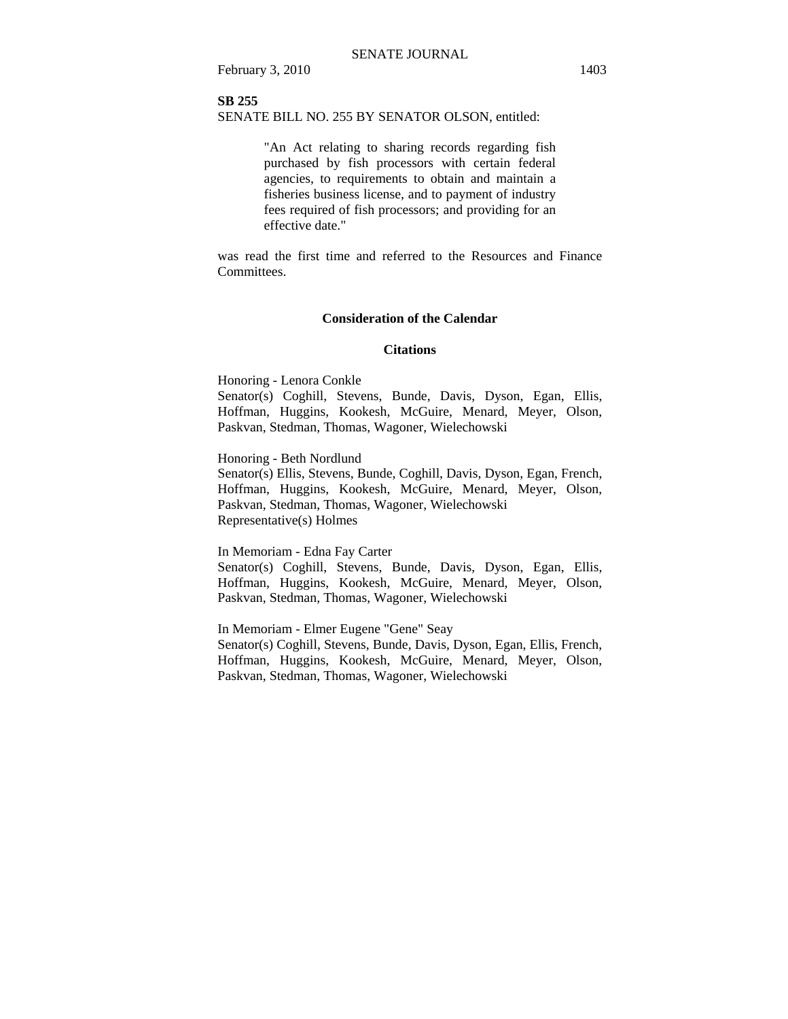#### **SB 255**

#### SENATE BILL NO. 255 BY SENATOR OLSON, entitled:

"An Act relating to sharing records regarding fish purchased by fish processors with certain federal agencies, to requirements to obtain and maintain a fisheries business license, and to payment of industry fees required of fish processors; and providing for an effective date."

was read the first time and referred to the Resources and Finance Committees.

#### **Consideration of the Calendar**

#### **Citations**

Honoring - Lenora Conkle

Senator(s) Coghill, Stevens, Bunde, Davis, Dyson, Egan, Ellis, Hoffman, Huggins, Kookesh, McGuire, Menard, Meyer, Olson, Paskvan, Stedman, Thomas, Wagoner, Wielechowski

Honoring - Beth Nordlund

Senator(s) Ellis, Stevens, Bunde, Coghill, Davis, Dyson, Egan, French, Hoffman, Huggins, Kookesh, McGuire, Menard, Meyer, Olson, Paskvan, Stedman, Thomas, Wagoner, Wielechowski Representative(s) Holmes

In Memoriam - Edna Fay Carter

Senator(s) Coghill, Stevens, Bunde, Davis, Dyson, Egan, Ellis, Hoffman, Huggins, Kookesh, McGuire, Menard, Meyer, Olson, Paskvan, Stedman, Thomas, Wagoner, Wielechowski

In Memoriam - Elmer Eugene "Gene" Seay Senator(s) Coghill, Stevens, Bunde, Davis, Dyson, Egan, Ellis, French, Hoffman, Huggins, Kookesh, McGuire, Menard, Meyer, Olson, Paskvan, Stedman, Thomas, Wagoner, Wielechowski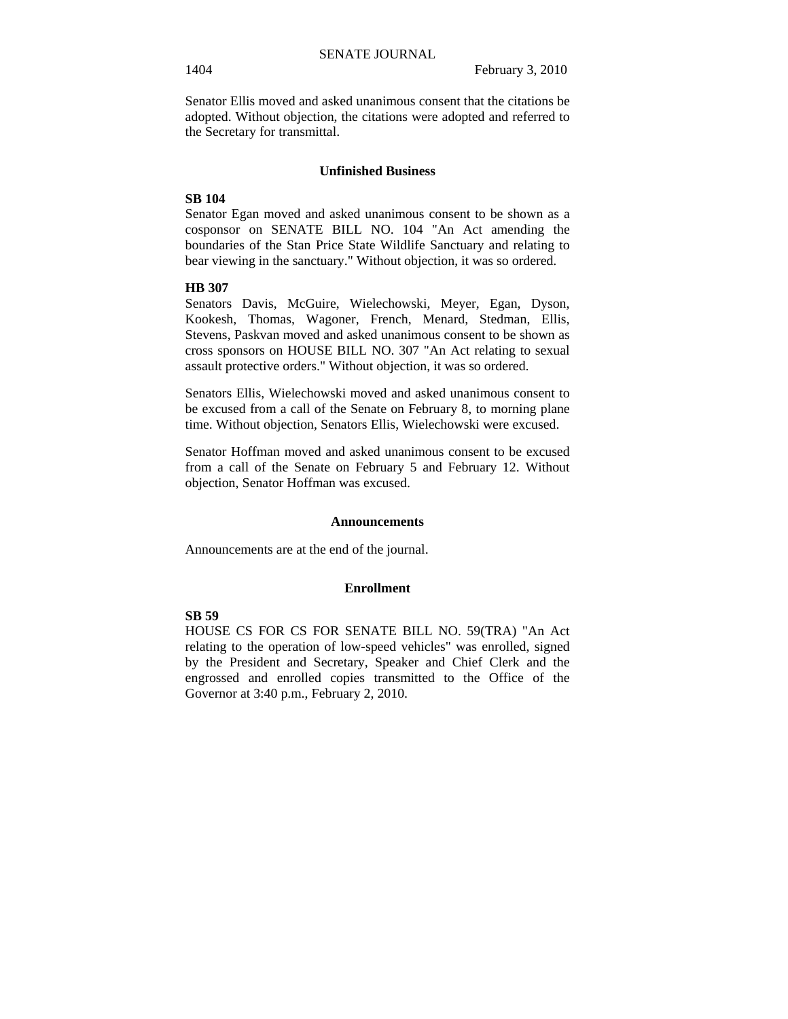Senator Ellis moved and asked unanimous consent that the citations be adopted. Without objection, the citations were adopted and referred to the Secretary for transmittal.

#### **Unfinished Business**

#### **SB 104**

Senator Egan moved and asked unanimous consent to be shown as a cosponsor on SENATE BILL NO. 104 "An Act amending the boundaries of the Stan Price State Wildlife Sanctuary and relating to bear viewing in the sanctuary." Without objection, it was so ordered.

#### **HB 307**

Senators Davis, McGuire, Wielechowski, Meyer, Egan, Dyson, Kookesh, Thomas, Wagoner, French, Menard, Stedman, Ellis, Stevens, Paskvan moved and asked unanimous consent to be shown as cross sponsors on HOUSE BILL NO. 307 "An Act relating to sexual assault protective orders." Without objection, it was so ordered.

Senators Ellis, Wielechowski moved and asked unanimous consent to be excused from a call of the Senate on February 8, to morning plane time. Without objection, Senators Ellis, Wielechowski were excused.

Senator Hoffman moved and asked unanimous consent to be excused from a call of the Senate on February 5 and February 12. Without objection, Senator Hoffman was excused.

#### **Announcements**

Announcements are at the end of the journal.

#### **Enrollment**

#### **SB 59**

HOUSE CS FOR CS FOR SENATE BILL NO. 59(TRA) "An Act relating to the operation of low-speed vehicles" was enrolled, signed by the President and Secretary, Speaker and Chief Clerk and the engrossed and enrolled copies transmitted to the Office of the Governor at 3:40 p.m., February 2, 2010.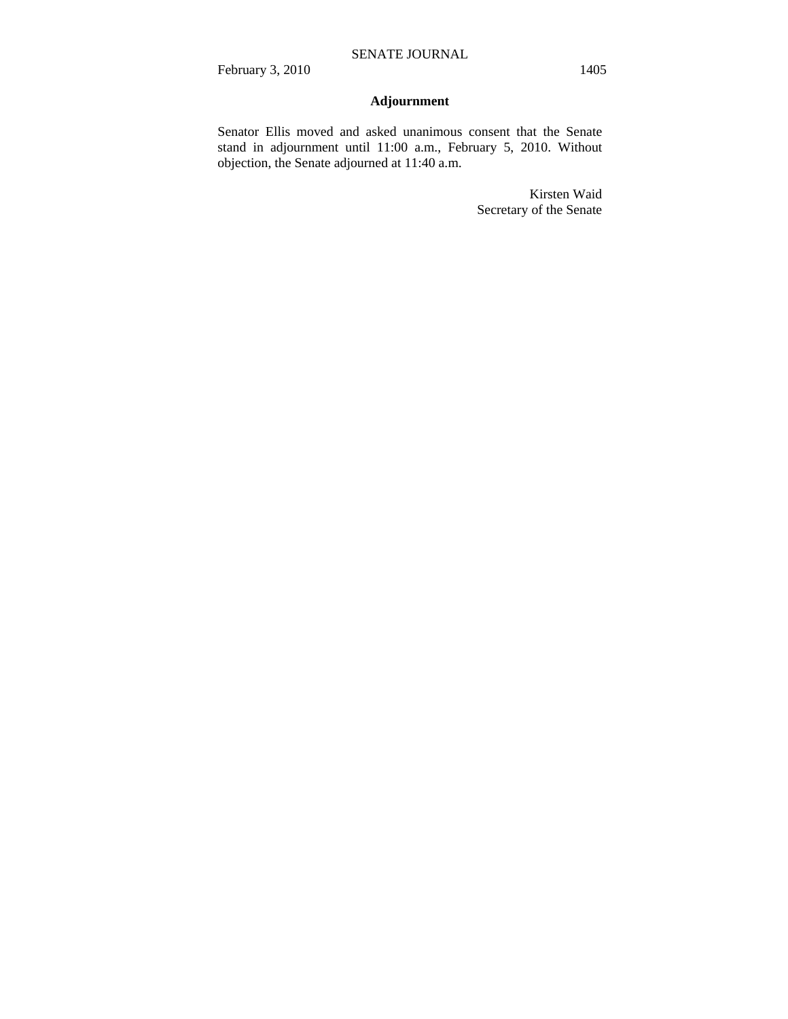## **Adjournment**

Senator Ellis moved and asked unanimous consent that the Senate stand in adjournment until 11:00 a.m., February 5, 2010. Without objection, the Senate adjourned at 11:40 a.m.

> Kirsten Waid Secretary of the Senate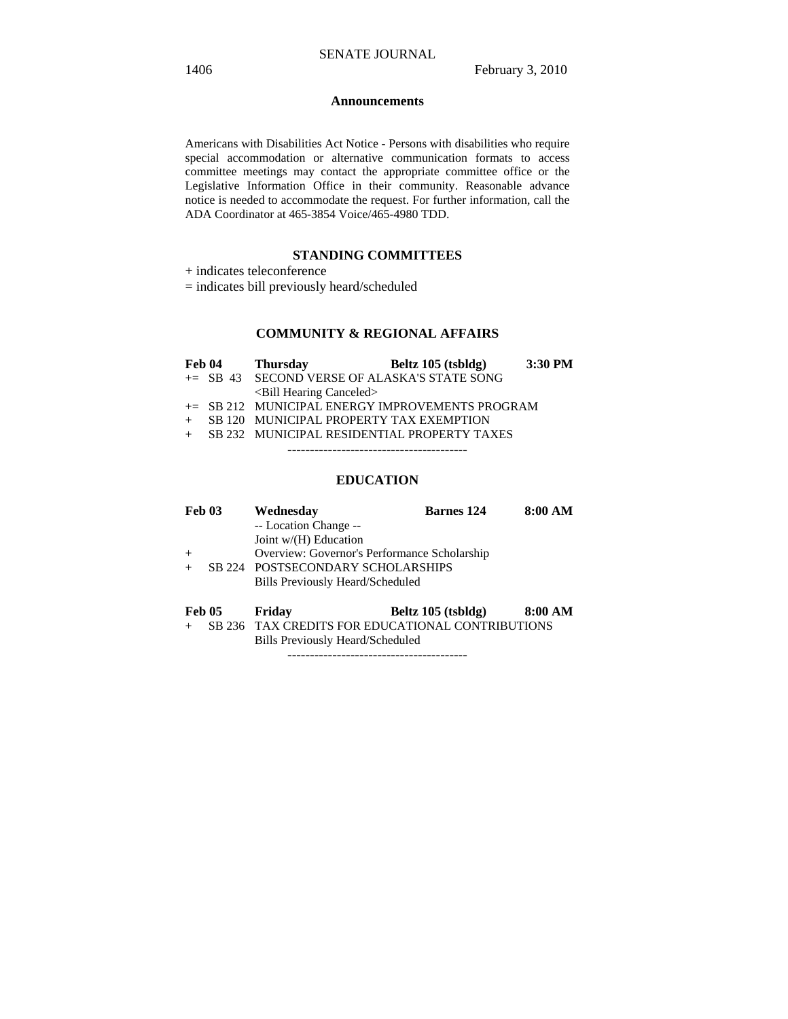#### **Announcements**

Americans with Disabilities Act Notice - Persons with disabilities who require special accommodation or alternative communication formats to access committee meetings may contact the appropriate committee office or the Legislative Information Office in their community. Reasonable advance notice is needed to accommodate the request. For further information, call the ADA Coordinator at 465-3854 Voice/465-4980 TDD.

#### **STANDING COMMITTEES**

+ indicates teleconference

= indicates bill previously heard/scheduled

## **COMMUNITY & REGIONAL AFFAIRS**

| Feb 04 | <b>Thursday</b>                                 | Beltz 105 (tsbldg) | 3:30 PM |
|--------|-------------------------------------------------|--------------------|---------|
|        | $\pm$ SB 43 SECOND VERSE OF ALASKA'S STATE SONG |                    |         |
|        | $\le$ Bill Hearing Canceled $>$                 |                    |         |
|        | += SB 212 MUNICIPAL ENERGY IMPROVEMENTS PROGRAM |                    |         |
| $+$    | SB 120 MUNICIPAL PROPERTY TAX EXEMPTION         |                    |         |
|        | + SB 232 MUNICIPAL RESIDENTIAL PROPERTY TAXES   |                    |         |
|        |                                                 |                    |         |
|        |                                                 |                    |         |

#### **EDUCATION**

| Feb 03        | Wednesday<br>-- Location Change --<br>Joint $w/(H)$ Education<br>Overview: Governor's Performance Scholarship | <b>Barnes</b> 124  | 8:00 AM |
|---------------|---------------------------------------------------------------------------------------------------------------|--------------------|---------|
|               | SB 224 POSTSECONDARY SCHOLARSHIPS<br>Bills Previously Heard/Scheduled                                         |                    |         |
| <b>Feb 05</b> | Friday                                                                                                        | Beltz 105 (tsbldg) | 8:00 AM |

+ SB 236 TAX CREDITS FOR EDUCATIONAL CONTRIBUTIONS Bills Previously Heard/Scheduled

----------------------------------------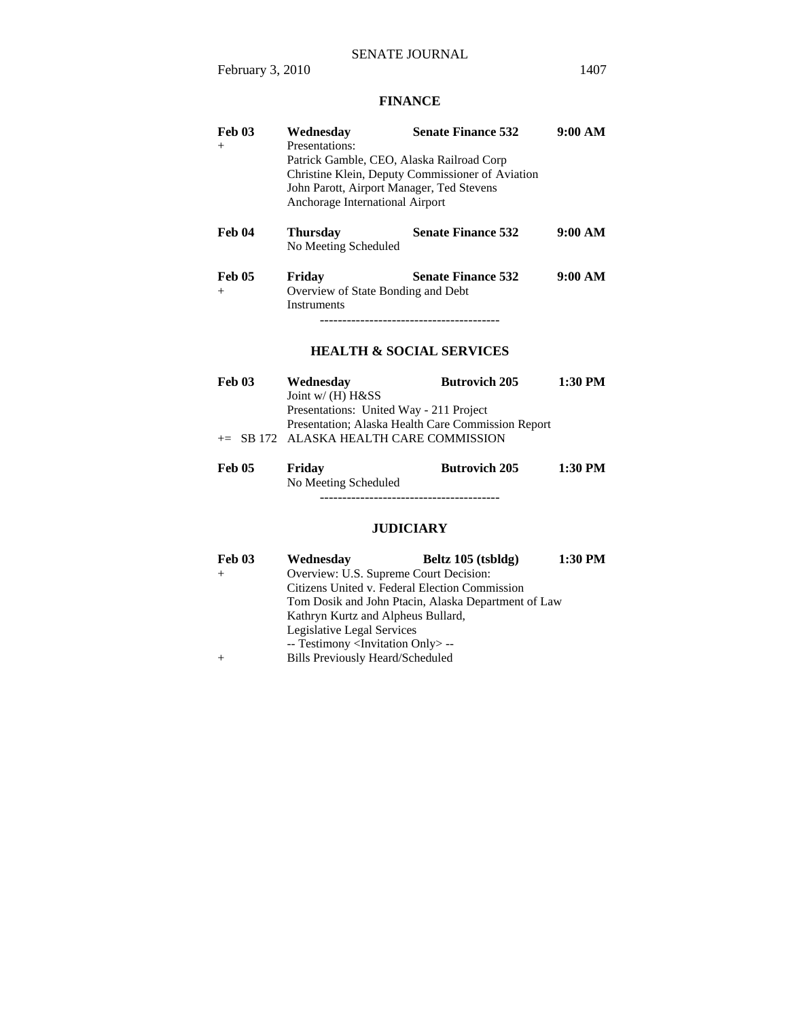## **FINANCE**

| Feb 03<br>$^{+}$        | Wednesdav<br>Presentations:<br>Patrick Gamble, CEO, Alaska Railroad Corp<br>John Parott, Airport Manager, Ted Stevens<br>Anchorage International Airport | <b>Senate Finance 532</b><br>Christine Klein, Deputy Commissioner of Aviation | 9:00 AM |
|-------------------------|----------------------------------------------------------------------------------------------------------------------------------------------------------|-------------------------------------------------------------------------------|---------|
| Feb 04                  | <b>Thursday</b><br>No Meeting Scheduled                                                                                                                  | <b>Senate Finance 532</b>                                                     | 9:00 AM |
| <b>Feb 05</b><br>$^{+}$ | Friday<br>Overview of State Bonding and Debt<br><b>Instruments</b>                                                                                       | <b>Senate Finance 532</b><br>-----------------------------------              | 9:00 AM |
|                         |                                                                                                                                                          | <b>HEALTH &amp; SOCIAL SERVICES</b>                                           |         |
| <b>Feb 03</b>           | Wednesday<br>Joint w/ (H) H&SS<br>Presentations: United Way - 211 Project                                                                                | <b>Butrovich 205</b>                                                          | 1:30 PM |

Presentation; Alaska Health Care Commission Report

+= SB 172 ALASKA HEALTH CARE COMMISSION

| Feb 05 | Friday               | <b>Butrovich 205</b> | 1:30 PM |
|--------|----------------------|----------------------|---------|
|        | No Meeting Scheduled |                      |         |
|        |                      |                      |         |

## **JUDICIARY**

| Feb 03 | Wednesday                                           | Beltz $105$ (tsbldg) | 1:30 PM |
|--------|-----------------------------------------------------|----------------------|---------|
|        | Overview: U.S. Supreme Court Decision:              |                      |         |
|        | Citizens United v. Federal Election Commission      |                      |         |
|        | Tom Dosik and John Ptacin, Alaska Department of Law |                      |         |
|        | Kathryn Kurtz and Alpheus Bullard,                  |                      |         |
|        | Legislative Legal Services                          |                      |         |
|        | -- Testimony <invitation only=""> --</invitation>   |                      |         |
|        | <b>Bills Previously Heard/Scheduled</b>             |                      |         |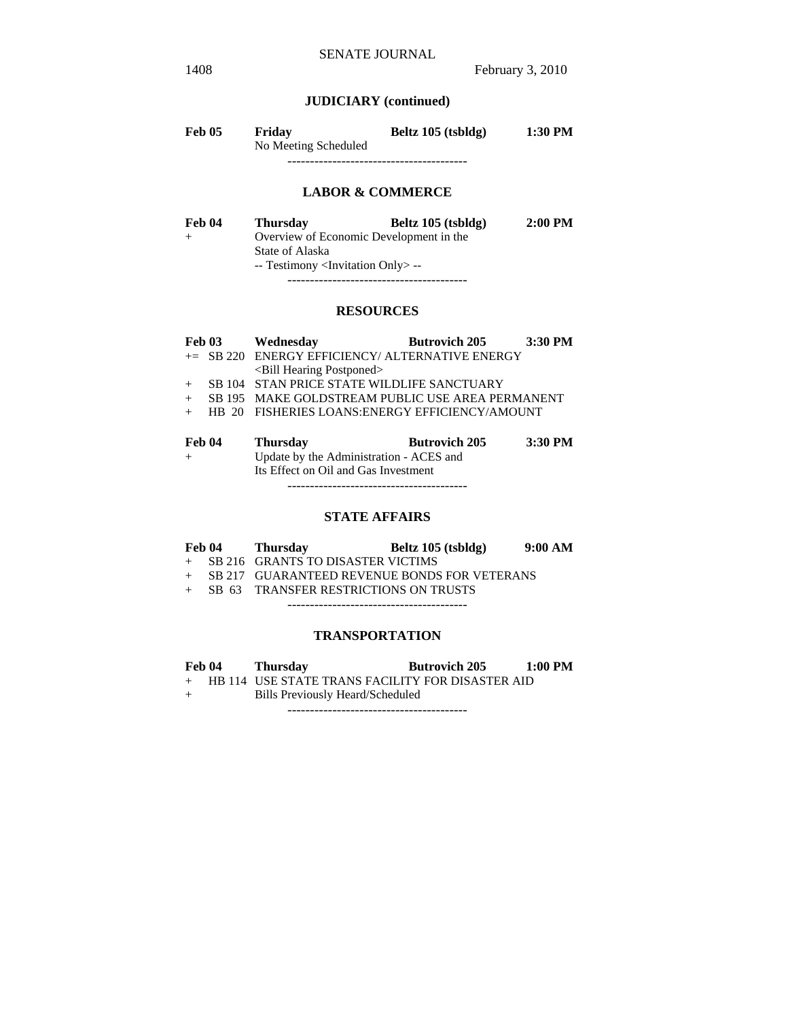## **JUDICIARY (continued)**

| <b>Feb 05</b> | Friday               | Beltz 105 (tsbldg) | 1:30 PM |  |
|---------------|----------------------|--------------------|---------|--|
|               | No Meeting Scheduled |                    |         |  |
|               |                      |                    |         |  |

#### **LABOR & COMMERCE**

| Feb 04 | <b>Thursday</b>                                   | Beltz 105 (tsbldg)                      | $2:00$ PM |
|--------|---------------------------------------------------|-----------------------------------------|-----------|
|        |                                                   | Overview of Economic Development in the |           |
|        | State of Alaska                                   |                                         |           |
|        | -- Testimony <invitation only=""> --</invitation> |                                         |           |
|        |                                                   |                                         |           |

#### **RESOURCES**

| <b>Feb 03</b> | Wednesday                                        | <b>Butrovich 205</b> | 3:30 PM |
|---------------|--------------------------------------------------|----------------------|---------|
|               | += SB 220 ENERGY EFFICIENCY/ ALTERNATIVE ENERGY  |                      |         |
|               | <bill hearing="" postponed=""></bill>            |                      |         |
| $+$           | SB 104 STAN PRICE STATE WILDLIFE SANCTUARY       |                      |         |
| $+$           | SB 195 MAKE GOLDSTREAM PUBLIC USE AREA PERMANENT |                      |         |
| $+$           | HB 20 FISHERIES LOANS: ENERGY EFFICIENCY/AMOUNT  |                      |         |
|               |                                                  |                      |         |
| Feb 04        | <b>Thursday</b>                                  | <b>Butrovich 205</b> | 3:30 PM |
| $+$           | Update by the Administration - ACES and          |                      |         |
|               | Its Effect on Oil and Gas Investment             |                      |         |

----------------------------------------

#### **STATE AFFAIRS**

| Feb 04 | <b>Thursday</b>                                | Beltz 105 (tsbldg) | 9:00 AM |
|--------|------------------------------------------------|--------------------|---------|
|        | + SB 216 GRANTS TO DISASTER VICTIMS            |                    |         |
|        | + SB 217 GUARANTEED REVENUE BONDS FOR VETERANS |                    |         |
|        | + SB 63 TRANSFER RESTRICTIONS ON TRUSTS        |                    |         |

----------------------------------------

#### **TRANSPORTATION**

|     | Feb 04 | <b>Thursday</b>                                  | <b>Butrovich 205</b> | 1:00 PM |
|-----|--------|--------------------------------------------------|----------------------|---------|
| $+$ |        | HB 114 USE STATE TRANS FACILITY FOR DISASTER AID |                      |         |
| $+$ |        | Bills Previously Heard/Scheduled                 |                      |         |

----------------------------------------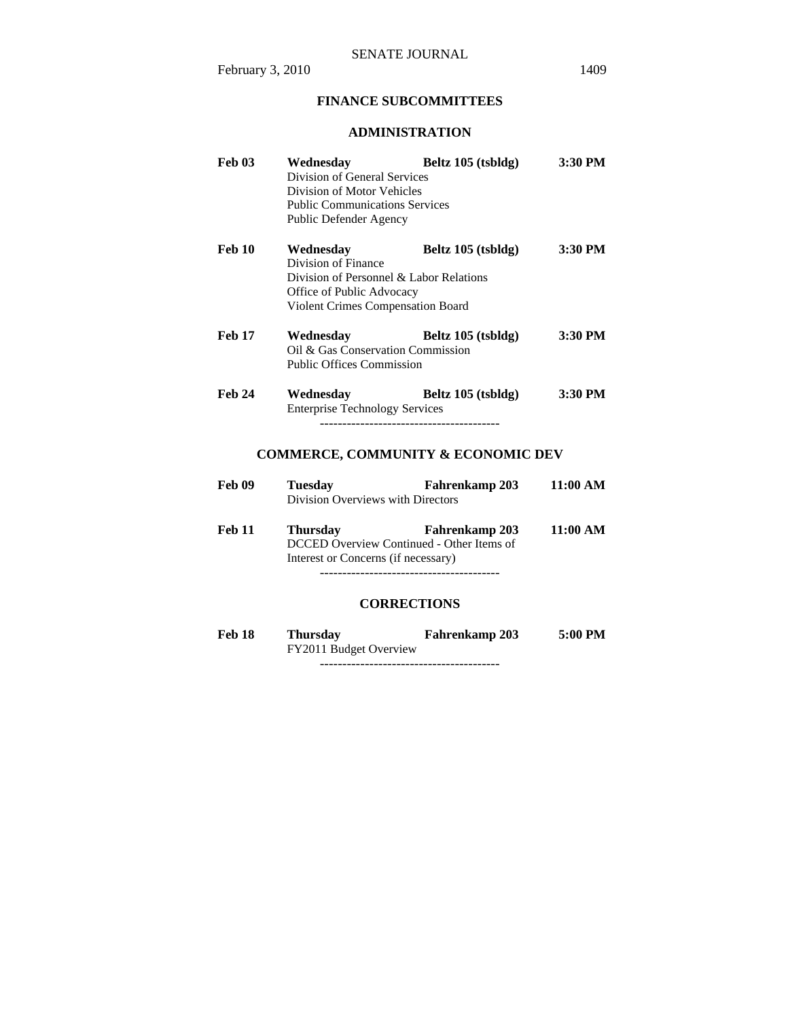## **FINANCE SUBCOMMITTEES**

## **ADMINISTRATION**

| <b>Feb 03</b>      | Wednesday<br>Division of General Services<br>Division of Motor Vehicles<br><b>Public Communications Services</b><br>Public Defender Agency           | Beltz 105 (tsbldg)                            | 3:30 PM  |
|--------------------|------------------------------------------------------------------------------------------------------------------------------------------------------|-----------------------------------------------|----------|
| <b>Feb 10</b>      | Wednesday<br>Division of Finance<br>Division of Personnel & Labor Relations<br>Office of Public Advocacy<br><b>Violent Crimes Compensation Board</b> | Beltz 105 (tsbldg)                            | 3:30 PM  |
| <b>Feb 17</b>      | Oil & Gas Conservation Commission<br><b>Public Offices Commission</b>                                                                                | Wednesday Beltz 105 (tsbldg)                  | 3:30 PM  |
| <b>Feb 24</b>      | Wednesday<br><b>Enterprise Technology Services</b>                                                                                                   | Beltz 105 (tsbldg)                            | 3:30 PM  |
|                    |                                                                                                                                                      | <b>COMMERCE, COMMUNITY &amp; ECONOMIC DEV</b> |          |
| Feb 09             | <b>Tuesday</b><br>Division Overviews with Directors                                                                                                  | Fahrenkamp 203                                | 11:00 AM |
| <b>Feb 11</b>      | <b>Thursday</b><br>DCCED Overview Continued - Other Items of<br>Interest or Concerns (if necessary)                                                  | Fahrenkamp 203                                | 11:00 AM |
| <b>CORRECTIONS</b> |                                                                                                                                                      |                                               |          |

**Feb 18 Thursday Fahrenkamp 203 5:00 PM**  Thursday<br>FY2011 Budget Overview ----------------------------------------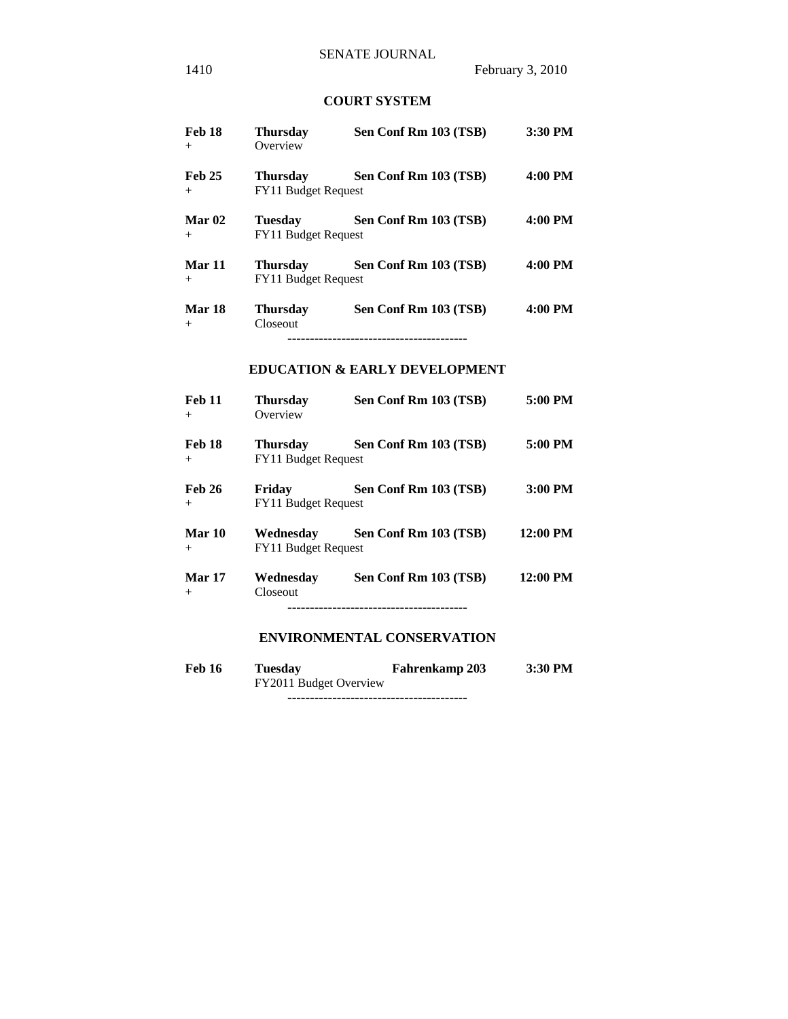## **COURT SYSTEM**

| Feb 18<br>$+$           | <b>Thursday</b><br>Overview | Sen Conf Rm 103 (TSB)                    | 3:30 PM |
|-------------------------|-----------------------------|------------------------------------------|---------|
| <b>Feb 25</b><br>$+$    | FY11 Budget Request         | Thursday Sen Conf Rm 103 (TSB)           | 4:00 PM |
| Mar $02$<br>$+$         | FY11 Budget Request         | Tuesday Sen Conf Rm 103 (TSB)            | 4:00 PM |
| <b>Mar 11</b><br>$+$    | FY11 Budget Request         | Thursday Sen Conf Rm 103 (TSB)           | 4:00 PM |
| <b>Mar 18</b><br>$+$    | Closeout                    | Thursday Sen Conf Rm 103 (TSB) 4:00 PM   |         |
|                         |                             | <b>EDUCATION &amp; EARLY DEVELOPMENT</b> |         |
| <b>Feb 11</b><br>$+$    | <b>Thursday</b><br>Overview | Sen Conf Rm 103 (TSB)                    | 5:00 PM |
| <b>Feb 18</b><br>$^{+}$ | FY11 Budget Request         | Thursday Sen Conf Rm 103 (TSB)           | 5:00 PM |
| Feb 26<br>$+$           | FY11 Budget Request         | Friday Sen Conf Rm 103 (TSB)             | 3:00 PM |
| <b>Mar 10</b><br>$+$    | FY11 Budget Request         | Wednesday Sen Conf Rm 103 (TSB) 12:00 PM |         |
| <b>Mar 17</b><br>$+$    | Closeout                    | Wednesday Sen Conf Rm 103 (TSB) 12:00 PM |         |
|                         |                             | <b>ENVIRONMENTAL CONSERVATION</b>        |         |

| Feb 16 | Tuesday                | <b>Fahrenkamp 203</b> | 3:30 PM |
|--------|------------------------|-----------------------|---------|
|        | FY2011 Budget Overview |                       |         |

----------------------------------------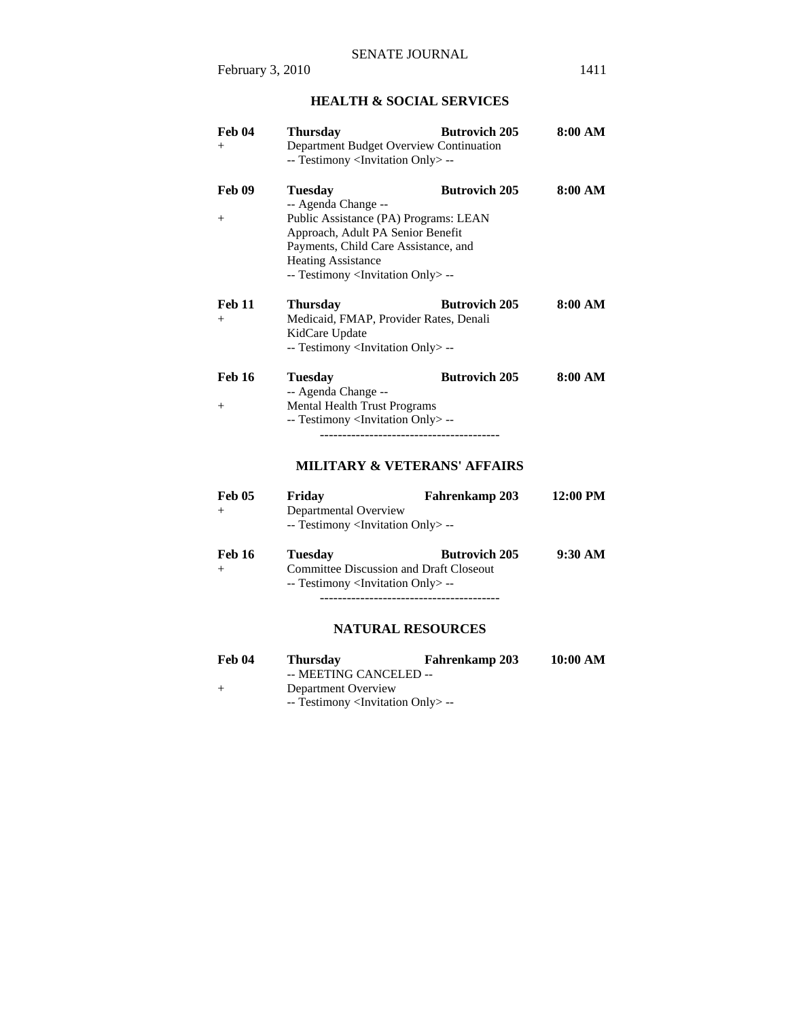## **HEALTH & SOCIAL SERVICES**

| Feb 04<br>$^{+}$        | <b>Thursday</b><br>Department Budget Overview Continuation<br>-- Testimony <invitation only=""> --</invitation>                                                                                                                               | <b>Butrovich 205</b> | 8:00 AM  |
|-------------------------|-----------------------------------------------------------------------------------------------------------------------------------------------------------------------------------------------------------------------------------------------|----------------------|----------|
| <b>Feb 09</b><br>$^{+}$ | <b>Tuesday</b><br>-- Agenda Change --<br>Public Assistance (PA) Programs: LEAN<br>Approach, Adult PA Senior Benefit<br>Payments, Child Care Assistance, and<br><b>Heating Assistance</b><br>-- Testimony <invitation only=""> --</invitation> | <b>Butrovich 205</b> | 8:00 AM  |
| <b>Feb 11</b><br>$+$    | <b>Thursday</b><br>Medicaid, FMAP, Provider Rates, Denali<br>KidCare Update<br>-- Testimony <invitation only=""> --</invitation>                                                                                                              | <b>Butrovich 205</b> | 8:00 AM  |
| <b>Feb 16</b><br>$^{+}$ | <b>Tuesday</b><br>-- Agenda Change --<br><b>Mental Health Trust Programs</b><br>-- Testimony <invitation only=""> --<br/><b>MILITARY &amp; VETERANS' AFFAIRS</b></invitation>                                                                 | <b>Butrovich 205</b> | 8:00 AM  |
| <b>Feb 05</b><br>$+$    | Friday<br>Departmental Overview<br>-- Testimony <invitation only=""> --</invitation>                                                                                                                                                          | Fahrenkamp 203       | 12:00 PM |
| <b>Feb 16</b><br>$+$    | <b>Tuesday</b><br><b>Committee Discussion and Draft Closeout</b><br>-- Testimony <invitation only=""> --<br/><b>NATURAL RESOURCES</b></invitation>                                                                                            | <b>Butrovich 205</b> | 9:30 AM  |
| Feb 04<br>$^{+}$        | <b>Thursday</b><br>-- MEETING CANCELED --<br>Department Overview<br>-- Testimony <invitation only="">--</invitation>                                                                                                                          | Fahrenkamp 203       | 10:00 AM |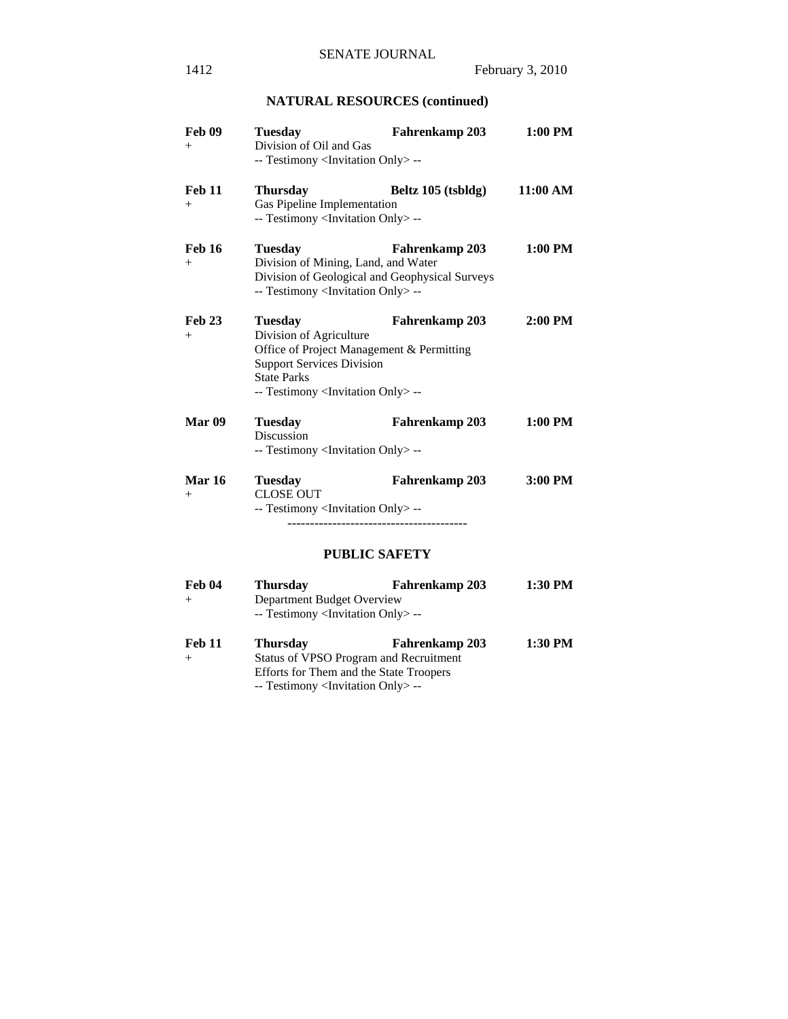# **NATURAL RESOURCES (continued)**

| <b>Feb 09</b><br>$^{+}$ | <b>Tuesday</b><br>Division of Oil and Gas<br>-- Testimony <invitation only=""> --</invitation>                                                                                                        | <b>Fahrenkamp 203</b> | 1:00 PM  |
|-------------------------|-------------------------------------------------------------------------------------------------------------------------------------------------------------------------------------------------------|-----------------------|----------|
| <b>Feb 11</b><br>$^{+}$ | <b>Thursday</b><br>Gas Pipeline Implementation<br>-- Testimony <invitation only=""> --</invitation>                                                                                                   | Beltz 105 (tsbldg)    | 11:00 AM |
| <b>Feb 16</b><br>$^{+}$ | <b>Tuesday</b><br>Division of Mining, Land, and Water<br>Division of Geological and Geophysical Surveys<br>-- Testimony <invitation only="">--</invitation>                                           | Fahrenkamp 203        | 1:00 PM  |
| <b>Feb 23</b><br>$^{+}$ | <b>Tuesday</b><br>Division of Agriculture<br>Office of Project Management & Permitting<br><b>Support Services Division</b><br><b>State Parks</b><br>-- Testimony <invitation only=""> --</invitation> | <b>Fahrenkamp 203</b> | 2:00 PM  |
| Mar <sub>09</sub>       | <b>Tuesday</b><br><b>Discussion</b><br>-- Testimony <invitation only=""> --</invitation>                                                                                                              | Fahrenkamp 203        | 1:00 PM  |
| <b>Mar 16</b><br>$+$    | <b>Tuesday</b><br><b>CLOSE OUT</b><br>-- Testimony <invitation only=""> --</invitation>                                                                                                               | Fahrenkamp 203        | 3:00 PM  |
|                         | <b>PUBLIC SAFETY</b>                                                                                                                                                                                  |                       |          |
| Feb 04<br>$^{+}$        | <b>Thursday</b><br>Department Budget Overview<br>-- Testimony <invitation only=""> --</invitation>                                                                                                    | Fahrenkamp 203        | 1:30 PM  |

| Feb 11 | <b>Thursday</b>                                   | <b>Fahrenkamp 203</b>                  | 1:30 PM |
|--------|---------------------------------------------------|----------------------------------------|---------|
| $^{+}$ |                                                   | Status of VPSO Program and Recruitment |         |
|        | Efforts for Them and the State Troopers           |                                        |         |
|        | -- Testimony <invitation only=""> --</invitation> |                                        |         |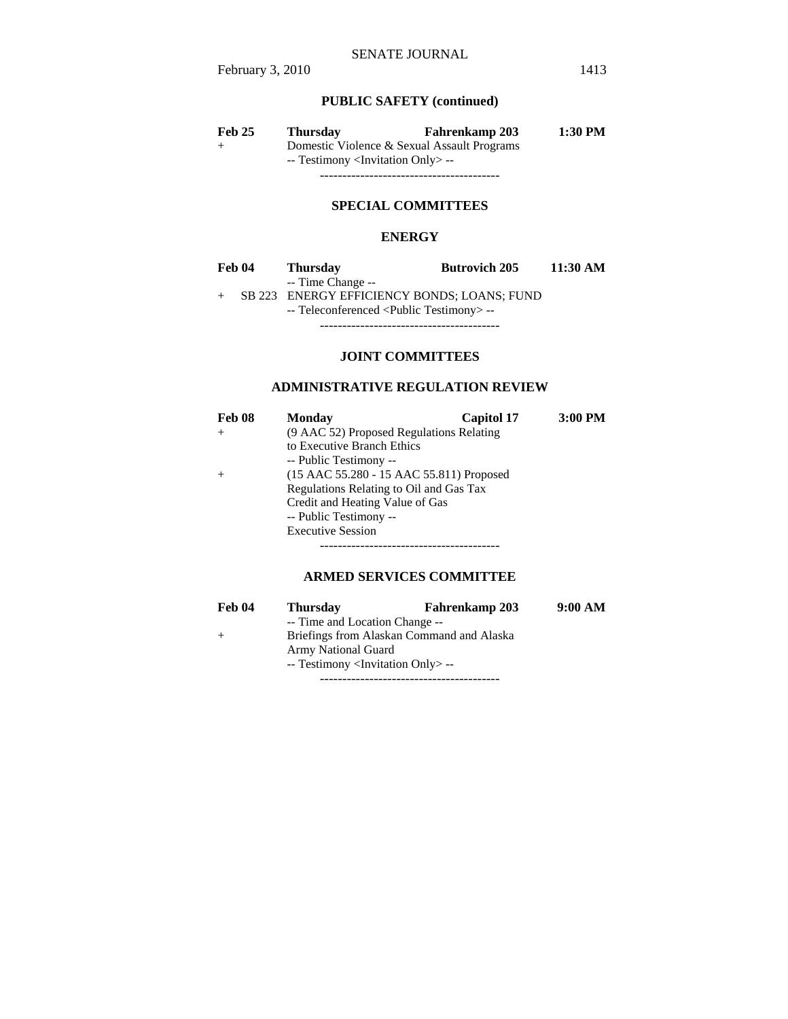## **PUBLIC SAFETY (continued)**

| <b>Feb 25</b> | <b>Thursday</b>                                  | <b>Fahrenkamp 203</b>                       | 1:30 PM |
|---------------|--------------------------------------------------|---------------------------------------------|---------|
| $^{+}$        |                                                  | Domestic Violence & Sexual Assault Programs |         |
|               | -- Testimony <invitation only="">--</invitation> |                                             |         |
|               |                                                  |                                             |         |

## **SPECIAL COMMITTEES**

## **ENERGY**

| Feb 04 | <b>Thursday</b>                                      | <b>Butrovich 205</b> | $11:30 \text{ AM}$ |
|--------|------------------------------------------------------|----------------------|--------------------|
|        | -- Time Change --                                    |                      |                    |
|        | SB 223 ENERGY EFFICIENCY BONDS; LOANS; FUND          |                      |                    |
|        | -- Teleconferenced <public testimony=""> --</public> |                      |                    |
|        |                                                      |                      |                    |

**JOINT COMMITTEES**

## **ADMINISTRATIVE REGULATION REVIEW**

| Feb 08                                   | <b>Monday</b>                            | <b>Capitol 17</b> | 3:00 PM |
|------------------------------------------|------------------------------------------|-------------------|---------|
| $^{+}$                                   | (9 AAC 52) Proposed Regulations Relating |                   |         |
|                                          | to Executive Branch Ethics               |                   |         |
|                                          | -- Public Testimony --                   |                   |         |
| (15 AAC 55.280 - 15 AAC 55.811) Proposed |                                          |                   |         |
|                                          | Regulations Relating to Oil and Gas Tax  |                   |         |
|                                          | Credit and Heating Value of Gas          |                   |         |
|                                          | -- Public Testimony --                   |                   |         |
|                                          | <b>Executive Session</b>                 |                   |         |
|                                          |                                          |                   |         |

## **ARMED SERVICES COMMITTEE**

| Feb 04 | <b>Thursday</b>                                   | <b>Fahrenkamp 203</b> | 9:00 AM |
|--------|---------------------------------------------------|-----------------------|---------|
|        | -- Time and Location Change --                    |                       |         |
| $+$    | Briefings from Alaskan Command and Alaska         |                       |         |
|        | <b>Army National Guard</b>                        |                       |         |
|        | -- Testimony <invitation only=""> --</invitation> |                       |         |
|        |                                                   |                       |         |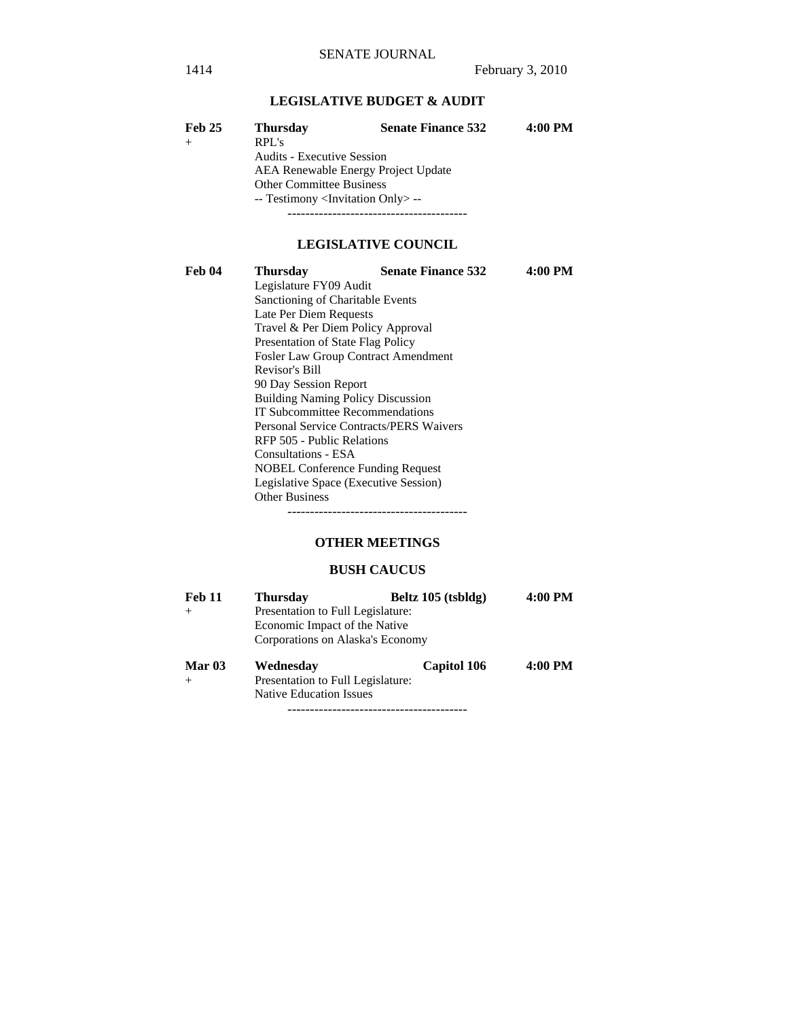## **LEGISLATIVE BUDGET & AUDIT**

| <b>Feb 25</b> | <b>Thursday</b>                                   | <b>Senate Finance 532</b> | 4:00 PM |
|---------------|---------------------------------------------------|---------------------------|---------|
|               | RPL's                                             |                           |         |
|               | <b>Audits - Executive Session</b>                 |                           |         |
|               | <b>AEA Renewable Energy Project Update</b>        |                           |         |
|               | <b>Other Committee Business</b>                   |                           |         |
|               | -- Testimony <invitation only=""> --</invitation> |                           |         |
|               |                                                   |                           |         |

## **LEGISLATIVE COUNCIL**

| Feb 04 | <b>Thursday</b>                                | <b>Senate Finance 532</b> | 4:00 PM |  |
|--------|------------------------------------------------|---------------------------|---------|--|
|        | Legislature FY09 Audit                         |                           |         |  |
|        | Sanctioning of Charitable Events               |                           |         |  |
|        | Late Per Diem Requests                         |                           |         |  |
|        | Travel & Per Diem Policy Approval              |                           |         |  |
|        | Presentation of State Flag Policy              |                           |         |  |
|        | <b>Fosler Law Group Contract Amendment</b>     |                           |         |  |
|        | Revisor's Bill                                 |                           |         |  |
|        | 90 Day Session Report                          |                           |         |  |
|        | <b>Building Naming Policy Discussion</b>       |                           |         |  |
|        | IT Subcommittee Recommendations                |                           |         |  |
|        | <b>Personal Service Contracts/PERS Waivers</b> |                           |         |  |
|        | RFP 505 - Public Relations                     |                           |         |  |
|        | Consultations - ESA                            |                           |         |  |
|        | <b>NOBEL Conference Funding Request</b>        |                           |         |  |
|        | Legislative Space (Executive Session)          |                           |         |  |
|        | <b>Other Business</b>                          |                           |         |  |
|        |                                                |                           |         |  |

## **OTHER MEETINGS**

### **BUSH CAUCUS**

| <b>Feb 11</b> | <b>Thursday</b>                   | Beltz 105 (tsbldg) | 4:00 PM |  |
|---------------|-----------------------------------|--------------------|---------|--|
| $+$           | Presentation to Full Legislature: |                    |         |  |
|               | Economic Impact of the Native     |                    |         |  |
|               | Corporations on Alaska's Economy  |                    |         |  |
| Mar $03$      | Wednesdav                         | <b>Capitol 106</b> | 4:00 PM |  |
| $+$           | Presentation to Full Legislature: |                    |         |  |
|               | <b>Native Education Issues</b>    |                    |         |  |
|               |                                   |                    |         |  |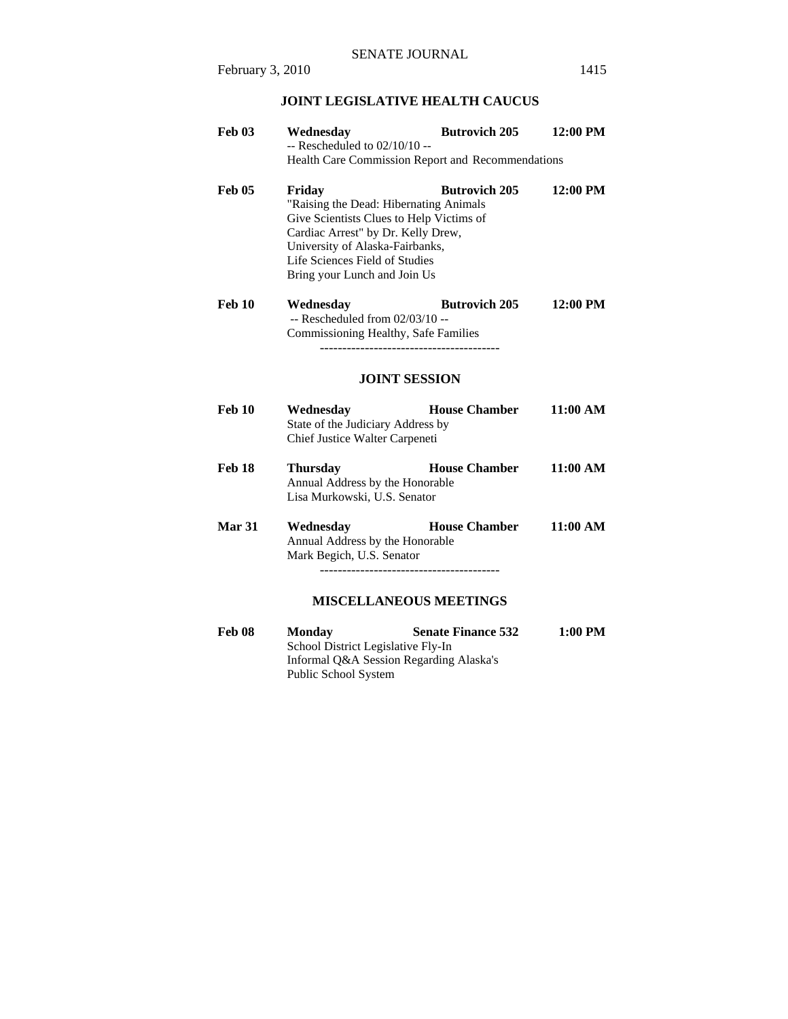## **JOINT LEGISLATIVE HEALTH CAUCUS**

| <b>Feb 03</b> | Wednesday<br>$-$ Rescheduled to $02/10/10 -$<br>Health Care Commission Report and Recommendations                                                                                                                                       | <b>Butrovich 205</b> | 12:00 PM           |
|---------------|-----------------------------------------------------------------------------------------------------------------------------------------------------------------------------------------------------------------------------------------|----------------------|--------------------|
| <b>Feb 05</b> | Friday<br>"Raising the Dead: Hibernating Animals<br>Give Scientists Clues to Help Victims of<br>Cardiac Arrest" by Dr. Kelly Drew,<br>University of Alaska-Fairbanks,<br>Life Sciences Field of Studies<br>Bring your Lunch and Join Us | <b>Butrovich 205</b> | $12:00$ PM         |
| <b>Feb 10</b> | Wednesday<br>$-$ Rescheduled from $02/03/10 -$<br>Commissioning Healthy, Safe Families<br><b>JOINT SESSION</b>                                                                                                                          | <b>Butrovich 205</b> | $12:00$ PM         |
| <b>Feb 10</b> | <b>House Chamber</b><br>Wednesday<br>State of the Judiciary Address by<br>Chief Justice Walter Carpeneti                                                                                                                                |                      | $11:00 \text{ AM}$ |
| <b>Feb 18</b> | <b>Thursday</b><br>Annual Address by the Honorable<br>Lisa Murkowski, U.S. Senator                                                                                                                                                      | <b>House Chamber</b> | 11:00 AM           |
| Mar 31        | Wednesday<br>Annual Address by the Honorable<br>Mark Begich, U.S. Senator                                                                                                                                                               | <b>House Chamber</b> | 11:00 AM           |

## **MISCELLANEOUS MEETINGS**

| Feb 08 | <b>Monday</b>                           | <b>Senate Finance 532</b> | 1:00 PM |
|--------|-----------------------------------------|---------------------------|---------|
|        | School District Legislative Fly-In      |                           |         |
|        | Informal Q&A Session Regarding Alaska's |                           |         |
|        | Public School System                    |                           |         |